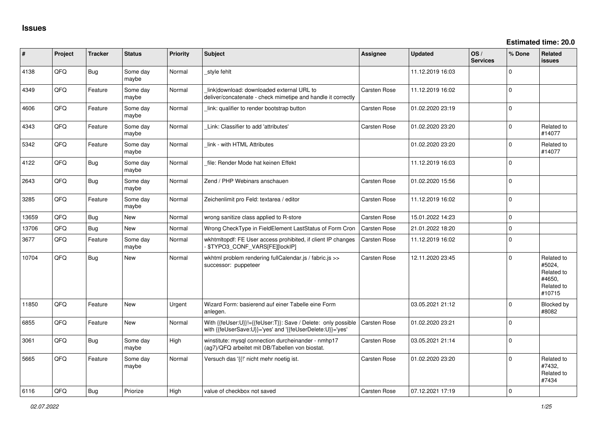| $\vert$ # | Project | <b>Tracker</b> | <b>Status</b>     | Priority    | <b>Subject</b>                                                                                                             | Assignee            | <b>Updated</b>   | OS/<br><b>Services</b> | % Done         | Related<br><b>issues</b>                                             |
|-----------|---------|----------------|-------------------|-------------|----------------------------------------------------------------------------------------------------------------------------|---------------------|------------------|------------------------|----------------|----------------------------------------------------------------------|
| 4138      | QFQ     | <b>Bug</b>     | Some day<br>maybe | Normal      | style fehlt                                                                                                                |                     | 11.12.2019 16:03 |                        | $\Omega$       |                                                                      |
| 4349      | QFQ     | Feature        | Some day<br>maybe | Normal      | link download: downloaded external URL to<br>deliver/concatenate - check mimetipe and handle it correctly                  | <b>Carsten Rose</b> | 11.12.2019 16:02 |                        | $\Omega$       |                                                                      |
| 4606      | QFQ     | Feature        | Some day<br>maybe | Normal      | link: qualifier to render bootstrap button                                                                                 | <b>Carsten Rose</b> | 01.02.2020 23:19 |                        | $\Omega$       |                                                                      |
| 4343      | QFQ     | Feature        | Some day<br>maybe | Normal      | Link: Classifier to add 'attributes'                                                                                       | <b>Carsten Rose</b> | 01.02.2020 23:20 |                        | $\Omega$       | Related to<br>#14077                                                 |
| 5342      | QFQ     | Feature        | Some day<br>maybe | Normal      | link - with HTML Attributes                                                                                                |                     | 01.02.2020 23:20 |                        | $\Omega$       | Related to<br>#14077                                                 |
| 4122      | QFQ     | Bug            | Some day<br>maybe | Normal      | file: Render Mode hat keinen Effekt                                                                                        |                     | 11.12.2019 16:03 |                        | $\mathbf 0$    |                                                                      |
| 2643      | QFQ     | Bug            | Some day<br>maybe | Normal      | Zend / PHP Webinars anschauen                                                                                              | <b>Carsten Rose</b> | 01.02.2020 15:56 |                        | $\Omega$       |                                                                      |
| 3285      | QFQ     | Feature        | Some day<br>maybe | Normal      | Zeichenlimit pro Feld: textarea / editor                                                                                   | <b>Carsten Rose</b> | 11.12.2019 16:02 |                        | $\mathbf{0}$   |                                                                      |
| 13659     | QFQ.    | Bug            | <b>New</b>        | Normal      | wrong sanitize class applied to R-store                                                                                    | <b>Carsten Rose</b> | 15.01.2022 14:23 |                        | $\Omega$       |                                                                      |
| 13706     | QFQ     | Bug            | New               | Normal      | Wrong CheckType in FieldElement LastStatus of Form Cron                                                                    | <b>Carsten Rose</b> | 21.01.2022 18:20 |                        | $\mathbf{0}$   |                                                                      |
| 3677      | QFQ     | Feature        | Some day<br>maybe | Normal      | wkhtmltopdf: FE User access prohibited, if client IP changes<br>- \$TYPO3_CONF_VARS[FE][lockIP]                            | Carsten Rose        | 11.12.2019 16:02 |                        | $\Omega$       |                                                                      |
| 10704     | QFQ     | Bug            | <b>New</b>        | Normal      | wkhtml problem rendering fullCalendar.js / fabric.js >><br>successor: puppeteer                                            | <b>Carsten Rose</b> | 12.11.2020 23:45 |                        | $\Omega$       | Related to<br>#5024,<br>Related to<br>#4650,<br>Related to<br>#10715 |
| 11850     | QFQ     | Feature        | <b>New</b>        | Urgent      | Wizard Form: basierend auf einer Tabelle eine Form<br>anlegen.                                                             |                     | 03.05.2021 21:12 |                        | $\Omega$       | Blocked by<br>#8082                                                  |
| 6855      | QFQ     | Feature        | <b>New</b>        | Normal      | With {{feUser:U}}!={{feUser:T}}: Save / Delete: only possible<br>with {{feUserSave:U}}='yes' and '{{feUserDelete:U}}='yes' | Carsten Rose        | 01.02.2020 23:21 |                        | $\Omega$       |                                                                      |
| 3061      | QFQ     | Bug            | Some day<br>maybe | High        | winstitute: mysql connection durcheinander - nmhp17<br>(ag7)/QFQ arbeitet mit DB/Tabellen von biostat.                     | <b>Carsten Rose</b> | 03.05.2021 21:14 |                        | $\Omega$       |                                                                      |
| 5665      | QFQ     | Feature        | Some day<br>maybe | Normal      | Versuch das '{{!' nicht mehr noetig ist.                                                                                   | <b>Carsten Rose</b> | 01.02.2020 23:20 |                        | $\Omega$       | Related to<br>#7432.<br>Related to<br>#7434                          |
| 6116      | OFO     | Bug            | Priorize          | <b>High</b> | value of checkbox not saved                                                                                                | <b>Carsten Rose</b> | 07.12.2021 17:19 |                        | $\overline{0}$ |                                                                      |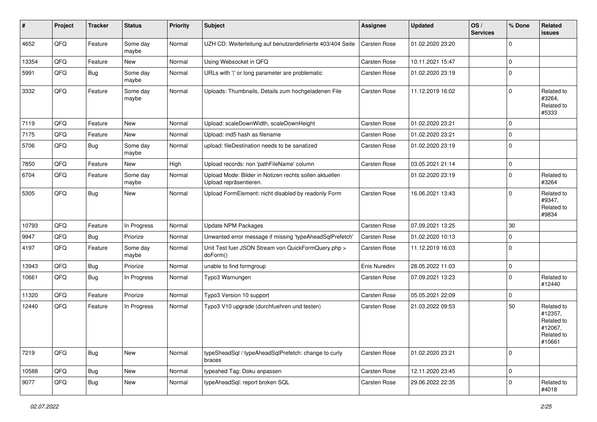| $\vert$ # | Project | <b>Tracker</b> | <b>Status</b>     | <b>Priority</b> | Subject                                                                          | <b>Assignee</b> | <b>Updated</b>   | OS/<br><b>Services</b> | % Done      | Related<br>issues                                                      |
|-----------|---------|----------------|-------------------|-----------------|----------------------------------------------------------------------------------|-----------------|------------------|------------------------|-------------|------------------------------------------------------------------------|
| 4652      | QFQ     | Feature        | Some day<br>maybe | Normal          | UZH CD: Weiterleitung auf benutzerdefinierte 403/404 Seite                       | Carsten Rose    | 01.02.2020 23:20 |                        | $\Omega$    |                                                                        |
| 13354     | QFQ     | Feature        | New               | Normal          | Using Websocket in QFQ                                                           | Carsten Rose    | 10.11.2021 15:47 |                        | $\mathbf 0$ |                                                                        |
| 5991      | QFQ     | Bug            | Some day<br>maybe | Normal          | URLs with ' ' or long parameter are problematic                                  | Carsten Rose    | 01.02.2020 23:19 |                        | $\mathbf 0$ |                                                                        |
| 3332      | QFQ     | Feature        | Some day<br>maybe | Normal          | Uploads: Thumbnails, Details zum hochgeladenen File                              | Carsten Rose    | 11.12.2019 16:02 |                        | $\Omega$    | Related to<br>#3264,<br>Related to<br>#5333                            |
| 7119      | QFQ     | Feature        | New               | Normal          | Upload: scaleDownWidth, scaleDownHeight                                          | Carsten Rose    | 01.02.2020 23:21 |                        | $\mathbf 0$ |                                                                        |
| 7175      | QFQ     | Feature        | New               | Normal          | Upload: md5 hash as filename                                                     | Carsten Rose    | 01.02.2020 23:21 |                        | $\mathbf 0$ |                                                                        |
| 5706      | QFQ     | <b>Bug</b>     | Some day<br>maybe | Normal          | upload: fileDestination needs to be sanatized                                    | Carsten Rose    | 01.02.2020 23:19 |                        | $\mathbf 0$ |                                                                        |
| 7850      | QFQ     | Feature        | New               | High            | Upload records: non 'pathFileName' column                                        | Carsten Rose    | 03.05.2021 21:14 |                        | $\mathbf 0$ |                                                                        |
| 6704      | QFQ     | Feature        | Some day<br>maybe | Normal          | Upload Mode: Bilder in Notizen rechts sollen aktuellen<br>Upload repräsentieren. |                 | 01.02.2020 23:19 |                        | $\Omega$    | Related to<br>#3264                                                    |
| 5305      | QFQ     | Bug            | <b>New</b>        | Normal          | Upload FormElement: nicht disabled by readonly Form                              | Carsten Rose    | 16.06.2021 13:43 |                        | $\Omega$    | Related to<br>#9347,<br>Related to<br>#9834                            |
| 10793     | QFQ     | Feature        | In Progress       | Normal          | <b>Update NPM Packages</b>                                                       | Carsten Rose    | 07.09.2021 13:25 |                        | 30          |                                                                        |
| 9947      | QFQ     | Bug            | Priorize          | Normal          | Unwanted error message if missing 'typeAheadSqlPrefetch'                         | Carsten Rose    | 01.02.2020 10:13 |                        | $\mathbf 0$ |                                                                        |
| 4197      | QFQ     | Feature        | Some day<br>maybe | Normal          | Unit Test fuer JSON Stream von QuickFormQuery.php ><br>doForm()                  | Carsten Rose    | 11.12.2019 16:03 |                        | $\mathbf 0$ |                                                                        |
| 13943     | QFQ     | Bug            | Priorize          | Normal          | unable to find formgroup                                                         | Enis Nuredini   | 28.05.2022 11:03 |                        | $\mathbf 0$ |                                                                        |
| 10661     | QFQ     | <b>Bug</b>     | In Progress       | Normal          | Typo3 Warnungen                                                                  | Carsten Rose    | 07.09.2021 13:23 |                        | $\mathbf 0$ | Related to<br>#12440                                                   |
| 11320     | QFQ     | Feature        | Priorize          | Normal          | Typo3 Version 10 support                                                         | Carsten Rose    | 05.05.2021 22:09 |                        | $\mathbf 0$ |                                                                        |
| 12440     | QFQ     | Feature        | In Progress       | Normal          | Typo3 V10 upgrade (durchfuehren und testen)                                      | Carsten Rose    | 21.03.2022 09:53 |                        | 50          | Related to<br>#12357,<br>Related to<br>#12067,<br>Related to<br>#10661 |
| 7219      | QFG     | <b>Bug</b>     | New               | Normal          | typeSheadSql / typeAheadSqlPrefetch: change to curly<br>braces                   | Carsten Rose    | 01.02.2020 23:21 |                        | $\mathbf 0$ |                                                                        |
| 10588     | QFQ     | <b>Bug</b>     | New               | Normal          | typeahed Tag: Doku anpassen                                                      | Carsten Rose    | 12.11.2020 23:45 |                        | $\mathbf 0$ |                                                                        |
| 9077      | QFQ     | <b>Bug</b>     | New               | Normal          | typeAheadSql: report broken SQL                                                  | Carsten Rose    | 29.06.2022 22:35 |                        | $\mathbf 0$ | Related to<br>#4018                                                    |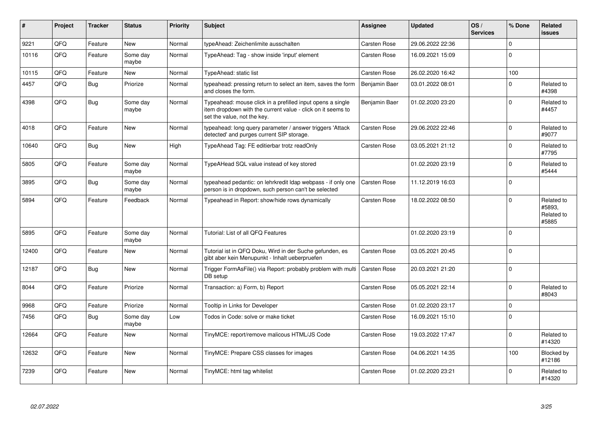| #     | Project    | <b>Tracker</b> | <b>Status</b>     | Priority | <b>Subject</b>                                                                                                                                           | <b>Assignee</b>     | <b>Updated</b>   | OS/<br><b>Services</b> | % Done      | Related<br><b>issues</b>                    |
|-------|------------|----------------|-------------------|----------|----------------------------------------------------------------------------------------------------------------------------------------------------------|---------------------|------------------|------------------------|-------------|---------------------------------------------|
| 9221  | QFQ        | Feature        | <b>New</b>        | Normal   | typeAhead: Zeichenlimite ausschalten                                                                                                                     | <b>Carsten Rose</b> | 29.06.2022 22:36 |                        | $\mathbf 0$ |                                             |
| 10116 | QFQ        | Feature        | Some day<br>maybe | Normal   | TypeAhead: Tag - show inside 'input' element                                                                                                             | <b>Carsten Rose</b> | 16.09.2021 15:09 |                        | $\Omega$    |                                             |
| 10115 | QFQ        | Feature        | New               | Normal   | TypeAhead: static list                                                                                                                                   | <b>Carsten Rose</b> | 26.02.2020 16:42 |                        | 100         |                                             |
| 4457  | QFQ        | <b>Bug</b>     | Priorize          | Normal   | typeahead: pressing return to select an item, saves the form<br>and closes the form.                                                                     | Benjamin Baer       | 03.01.2022 08:01 |                        | $\Omega$    | Related to<br>#4398                         |
| 4398  | QFQ        | Bug            | Some day<br>maybe | Normal   | Typeahead: mouse click in a prefilled input opens a single<br>item dropdown with the current value - click on it seems to<br>set the value, not the key. | Benjamin Baer       | 01.02.2020 23:20 |                        | $\mathbf 0$ | Related to<br>#4457                         |
| 4018  | QFQ        | Feature        | New               | Normal   | typeahead: long query parameter / answer triggers 'Attack<br>detected' and purges current SIP storage.                                                   | <b>Carsten Rose</b> | 29.06.2022 22:46 |                        | $\Omega$    | Related to<br>#9077                         |
| 10640 | QFQ        | Bug            | New               | High     | TypeAhead Tag: FE editierbar trotz readOnly                                                                                                              | <b>Carsten Rose</b> | 03.05.2021 21:12 |                        | $\mathbf 0$ | Related to<br>#7795                         |
| 5805  | <b>OFO</b> | Feature        | Some day<br>maybe | Normal   | TypeAHead SQL value instead of key stored                                                                                                                |                     | 01.02.2020 23:19 |                        | $\Omega$    | Related to<br>#5444                         |
| 3895  | QFQ        | Bug            | Some day<br>maybe | Normal   | typeahead pedantic: on lehrkredit Idap webpass - if only one<br>person is in dropdown, such person can't be selected                                     | <b>Carsten Rose</b> | 11.12.2019 16:03 |                        | $\mathbf 0$ |                                             |
| 5894  | QFQ        | Feature        | Feedback          | Normal   | Typeahead in Report: show/hide rows dynamically                                                                                                          | <b>Carsten Rose</b> | 18.02.2022 08:50 |                        | $\mathbf 0$ | Related to<br>#5893.<br>Related to<br>#5885 |
| 5895  | QFQ        | Feature        | Some day<br>maybe | Normal   | Tutorial: List of all QFQ Features                                                                                                                       |                     | 01.02.2020 23:19 |                        | $\mathbf 0$ |                                             |
| 12400 | QFQ        | Feature        | New               | Normal   | Tutorial ist in QFQ Doku, Wird in der Suche gefunden, es<br>gibt aber kein Menupunkt - Inhalt ueberpruefen                                               | <b>Carsten Rose</b> | 03.05.2021 20:45 |                        | $\mathbf 0$ |                                             |
| 12187 | QFQ        | Bug            | New               | Normal   | Trigger FormAsFile() via Report: probably problem with multi<br>DB setup                                                                                 | Carsten Rose        | 20.03.2021 21:20 |                        | $\mathbf 0$ |                                             |
| 8044  | QFQ        | Feature        | Priorize          | Normal   | Transaction: a) Form, b) Report                                                                                                                          | Carsten Rose        | 05.05.2021 22:14 |                        | $\Omega$    | Related to<br>#8043                         |
| 9968  | QFQ        | Feature        | Priorize          | Normal   | Tooltip in Links for Developer                                                                                                                           | <b>Carsten Rose</b> | 01.02.2020 23:17 |                        | $\mathbf 0$ |                                             |
| 7456  | QFQ        | <b>Bug</b>     | Some day<br>maybe | Low      | Todos in Code: solve or make ticket                                                                                                                      | <b>Carsten Rose</b> | 16.09.2021 15:10 |                        | $\mathbf 0$ |                                             |
| 12664 | QFQ        | Feature        | New               | Normal   | TinyMCE: report/remove malicous HTML/JS Code                                                                                                             | <b>Carsten Rose</b> | 19.03.2022 17:47 |                        | $\mathbf 0$ | Related to<br>#14320                        |
| 12632 | QFQ        | Feature        | New               | Normal   | TinyMCE: Prepare CSS classes for images                                                                                                                  | Carsten Rose        | 04.06.2021 14:35 |                        | 100         | Blocked by<br>#12186                        |
| 7239  | QFQ        | Feature        | New               | Normal   | TinyMCE: html tag whitelist                                                                                                                              | Carsten Rose        | 01.02.2020 23:21 |                        | $\Omega$    | Related to<br>#14320                        |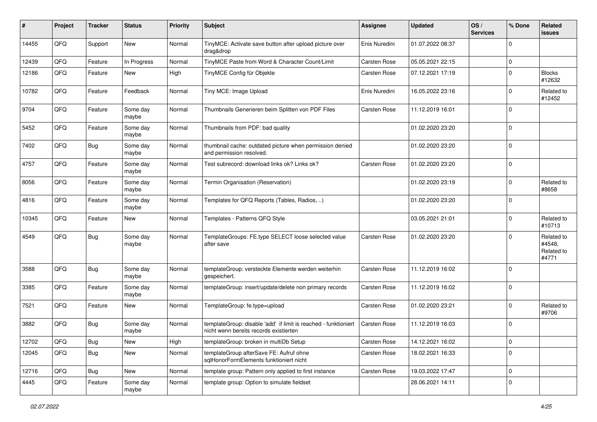| $\sharp$ | Project | <b>Tracker</b> | <b>Status</b>     | <b>Priority</b> | Subject                                                                                                   | <b>Assignee</b>     | <b>Updated</b>   | OS/<br><b>Services</b> | % Done         | Related<br><b>issues</b>                    |
|----------|---------|----------------|-------------------|-----------------|-----------------------------------------------------------------------------------------------------------|---------------------|------------------|------------------------|----------------|---------------------------------------------|
| 14455    | QFQ     | Support        | <b>New</b>        | Normal          | TinyMCE: Activate save button after upload picture over<br>drag&drop                                      | Enis Nuredini       | 01.07.2022 08:37 |                        | $\mathbf 0$    |                                             |
| 12439    | QFQ     | Feature        | In Progress       | Normal          | TinyMCE Paste from Word & Character Count/Limit                                                           | Carsten Rose        | 05.05.2021 22:15 |                        | $\overline{0}$ |                                             |
| 12186    | QFQ     | Feature        | New               | High            | TinyMCE Config für Objekte                                                                                | Carsten Rose        | 07.12.2021 17:19 |                        | $\mathbf 0$    | <b>Blocks</b><br>#12632                     |
| 10782    | QFQ     | Feature        | Feedback          | Normal          | Tiny MCE: Image Upload                                                                                    | Enis Nuredini       | 16.05.2022 23:16 |                        | $\mathbf 0$    | Related to<br>#12452                        |
| 9704     | QFQ     | Feature        | Some day<br>maybe | Normal          | Thumbnails Generieren beim Splitten von PDF Files                                                         | <b>Carsten Rose</b> | 11.12.2019 16:01 |                        | $\overline{0}$ |                                             |
| 5452     | QFQ     | Feature        | Some day<br>maybe | Normal          | Thumbnails from PDF: bad quality                                                                          |                     | 01.02.2020 23:20 |                        | $\overline{0}$ |                                             |
| 7402     | QFQ     | Bug            | Some day<br>maybe | Normal          | thumbnail cache: outdated picture when permission denied<br>and permission resolved.                      |                     | 01.02.2020 23:20 |                        | $\mathbf 0$    |                                             |
| 4757     | QFQ     | Feature        | Some day<br>maybe | Normal          | Test subrecord: download links ok? Links ok?                                                              | <b>Carsten Rose</b> | 01.02.2020 23:20 |                        | $\overline{0}$ |                                             |
| 8056     | QFQ     | Feature        | Some day<br>maybe | Normal          | Termin Organisation (Reservation)                                                                         |                     | 01.02.2020 23:19 |                        | $\mathbf 0$    | Related to<br>#8658                         |
| 4816     | QFQ     | Feature        | Some day<br>maybe | Normal          | Templates for QFQ Reports (Tables, Radios, )                                                              |                     | 01.02.2020 23:20 |                        | $\overline{0}$ |                                             |
| 10345    | QFQ     | Feature        | <b>New</b>        | Normal          | Templates - Patterns QFQ Style                                                                            |                     | 03.05.2021 21:01 |                        | $\mathbf 0$    | Related to<br>#10713                        |
| 4549     | QFQ     | <b>Bug</b>     | Some day<br>maybe | Normal          | TemplateGroups: FE.type SELECT loose selected value<br>after save                                         | <b>Carsten Rose</b> | 01.02.2020 23:20 |                        | $\overline{0}$ | Related to<br>#4548,<br>Related to<br>#4771 |
| 3588     | QFQ     | Bug            | Some day<br>maybe | Normal          | templateGroup: versteckte Elemente werden weiterhin<br>gespeichert.                                       | <b>Carsten Rose</b> | 11.12.2019 16:02 |                        | $\overline{0}$ |                                             |
| 3385     | QFQ     | Feature        | Some day<br>maybe | Normal          | templateGroup: insert/update/delete non primary records                                                   | Carsten Rose        | 11.12.2019 16:02 |                        | $\overline{0}$ |                                             |
| 7521     | QFQ     | Feature        | New               | Normal          | TemplateGroup: fe.type=upload                                                                             | Carsten Rose        | 01.02.2020 23:21 |                        | $\mathbf 0$    | Related to<br>#9706                         |
| 3882     | QFQ     | Bug            | Some day<br>maybe | Normal          | templateGroup: disable 'add' if limit is reached - funktioniert<br>nicht wenn bereits records existierten | Carsten Rose        | 11.12.2019 16:03 |                        | $\overline{0}$ |                                             |
| 12702    | QFQ     | <b>Bug</b>     | New               | High            | templateGroup: broken in multiDb Setup                                                                    | Carsten Rose        | 14.12.2021 16:02 |                        | $\pmb{0}$      |                                             |
| 12045    | QFQ     | Bug            | New               | Normal          | templateGroup afterSave FE: Aufruf ohne<br>sqlHonorFormElements funktioniert nicht                        | Carsten Rose        | 18.02.2021 16:33 |                        | $\overline{0}$ |                                             |
| 12716    | QFQ     | Bug            | New               | Normal          | template group: Pattern only applied to first instance                                                    | Carsten Rose        | 19.03.2022 17:47 |                        | $\overline{0}$ |                                             |
| 4445     | QFQ     | Feature        | Some day<br>maybe | Normal          | template group: Option to simulate fieldset                                                               |                     | 28.06.2021 14:11 |                        | $\mathbf 0$    |                                             |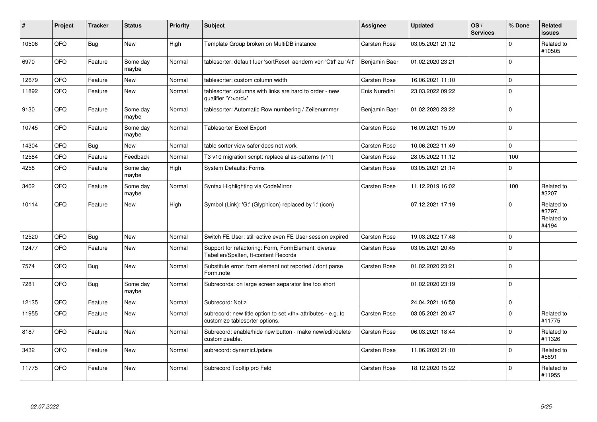| #     | Project | <b>Tracker</b> | <b>Status</b>     | <b>Priority</b> | <b>Subject</b>                                                                                       | <b>Assignee</b>                                        | <b>Updated</b>   | OS/<br><b>Services</b> | % Done         | Related<br><b>issues</b>                    |                      |
|-------|---------|----------------|-------------------|-----------------|------------------------------------------------------------------------------------------------------|--------------------------------------------------------|------------------|------------------------|----------------|---------------------------------------------|----------------------|
| 10506 | QFQ     | <b>Bug</b>     | <b>New</b>        | High            | Template Group broken on MultiDB instance                                                            | Carsten Rose                                           | 03.05.2021 21:12 |                        | $\Omega$       | Related to<br>#10505                        |                      |
| 6970  | QFQ     | Feature        | Some day<br>maybe | Normal          | tablesorter: default fuer 'sortReset' aendern von 'Ctrl' zu 'Alt'                                    | Benjamin Baer                                          | 01.02.2020 23:21 |                        | $\Omega$       |                                             |                      |
| 12679 | QFQ     | Feature        | <b>New</b>        | Normal          | tablesorter: custom column width                                                                     | Carsten Rose                                           | 16.06.2021 11:10 |                        | $\mathbf{0}$   |                                             |                      |
| 11892 | QFQ     | Feature        | <b>New</b>        | Normal          | tablesorter: columns with links are hard to order - new<br>qualifier 'Y: <ord>'</ord>                | Enis Nuredini                                          | 23.03.2022 09:22 |                        | $\Omega$       |                                             |                      |
| 9130  | QFQ     | Feature        | Some day<br>maybe | Normal          | tablesorter: Automatic Row numbering / Zeilenummer                                                   | Benjamin Baer                                          | 01.02.2020 23:22 |                        | $\Omega$       |                                             |                      |
| 10745 | QFQ     | Feature        | Some day<br>maybe | Normal          | Tablesorter Excel Export                                                                             | Carsten Rose                                           | 16.09.2021 15:09 |                        | $\mathbf 0$    |                                             |                      |
| 14304 | QFQ     | Bug            | New               | Normal          | table sorter view safer does not work                                                                | Carsten Rose                                           | 10.06.2022 11:49 |                        | $\Omega$       |                                             |                      |
| 12584 | QFQ     | Feature        | Feedback          | Normal          | T3 v10 migration script: replace alias-patterns (v11)                                                | Carsten Rose                                           | 28.05.2022 11:12 |                        | 100            |                                             |                      |
| 4258  | QFQ     | Feature        | Some day<br>maybe | High            | <b>System Defaults: Forms</b>                                                                        | Carsten Rose                                           | 03.05.2021 21:14 |                        | $\Omega$       |                                             |                      |
| 3402  | QFQ     | Feature        | Some day<br>maybe | Normal          | Syntax Highlighting via CodeMirror                                                                   | Carsten Rose                                           | 11.12.2019 16:02 |                        | 100            | Related to<br>#3207                         |                      |
| 10114 | QFQ     | Feature        | <b>New</b>        | High            | Symbol (Link): 'G:' (Glyphicon) replaced by 'i:' (icon)                                              |                                                        | 07.12.2021 17:19 |                        | $\Omega$       | Related to<br>#3797,<br>Related to<br>#4194 |                      |
| 12520 | QFQ     | Bug            | <b>New</b>        | Normal          | Switch FE User: still active even FE User session expired                                            | Carsten Rose                                           | 19.03.2022 17:48 |                        | $\overline{0}$ |                                             |                      |
| 12477 | QFQ     | Feature        | <b>New</b>        | Normal          | Support for refactoring: Form, FormElement, diverse<br>Tabellen/Spalten, tt-content Records          | Carsten Rose                                           | 03.05.2021 20:45 |                        | $\Omega$       |                                             |                      |
| 7574  | QFQ     | Bug            | <b>New</b>        | Normal          | Substitute error: form element not reported / dont parse<br>Form.note                                | Carsten Rose                                           | 01.02.2020 23:21 |                        | $\overline{0}$ |                                             |                      |
| 7281  | QFQ     | <b>Bug</b>     | Some day<br>maybe | Normal          | Subrecords: on large screen separator line too short                                                 |                                                        | 01.02.2020 23:19 |                        | $\overline{0}$ |                                             |                      |
| 12135 | QFQ     | Feature        | <b>New</b>        | Normal          | Subrecord: Notiz                                                                                     |                                                        | 24.04.2021 16:58 |                        | $\overline{0}$ |                                             |                      |
| 11955 | QFQ     | Feature        | <b>New</b>        | Normal          | subrecord: new title option to set <th> attributes - e.g. to<br/>customize tablesorter options.</th> | attributes - e.g. to<br>customize tablesorter options. | Carsten Rose     | 03.05.2021 20:47       |                | $\Omega$                                    | Related to<br>#11775 |
| 8187  | QFQ     | Feature        | <b>New</b>        | Normal          | Subrecord: enable/hide new button - make new/edit/delete<br>customizeable.                           | Carsten Rose                                           | 06.03.2021 18:44 |                        | $\Omega$       | Related to<br>#11326                        |                      |
| 3432  | QFQ     | Feature        | <b>New</b>        | Normal          | subrecord: dynamicUpdate                                                                             | Carsten Rose                                           | 11.06.2020 21:10 |                        | $\Omega$       | Related to<br>#5691                         |                      |
| 11775 | QFQ     | Feature        | <b>New</b>        | Normal          | Subrecord Tooltip pro Feld                                                                           | Carsten Rose                                           | 18.12.2020 15:22 |                        | $\Omega$       | Related to<br>#11955                        |                      |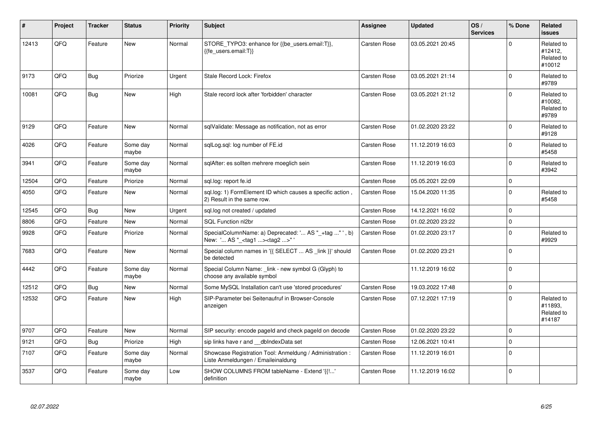| ∦     | Project | <b>Tracker</b> | <b>Status</b>     | <b>Priority</b> | <b>Subject</b>                                                                                     | <b>Assignee</b>     | <b>Updated</b>   | OS/<br><b>Services</b> | % Done      | Related<br><b>issues</b>                      |
|-------|---------|----------------|-------------------|-----------------|----------------------------------------------------------------------------------------------------|---------------------|------------------|------------------------|-------------|-----------------------------------------------|
| 12413 | QFQ     | Feature        | <b>New</b>        | Normal          | STORE_TYPO3: enhance for {{be_users.email:T}},<br>{{fe users.email:T}}                             | Carsten Rose        | 03.05.2021 20:45 |                        | $\Omega$    | Related to<br>#12412,<br>Related to<br>#10012 |
| 9173  | QFQ     | <b>Bug</b>     | Priorize          | Urgent          | Stale Record Lock: Firefox                                                                         | Carsten Rose        | 03.05.2021 21:14 |                        | $\Omega$    | Related to<br>#9789                           |
| 10081 | QFQ     | <b>Bug</b>     | <b>New</b>        | High            | Stale record lock after 'forbidden' character                                                      | <b>Carsten Rose</b> | 03.05.2021 21:12 |                        | $\Omega$    | Related to<br>#10082,<br>Related to<br>#9789  |
| 9129  | QFQ     | Feature        | New               | Normal          | sqlValidate: Message as notification, not as error                                                 | <b>Carsten Rose</b> | 01.02.2020 23:22 |                        | $\mathbf 0$ | Related to<br>#9128                           |
| 4026  | QFQ     | Feature        | Some day<br>maybe | Normal          | sqlLog.sql: log number of FE.id                                                                    | Carsten Rose        | 11.12.2019 16:03 |                        | $\Omega$    | Related to<br>#5458                           |
| 3941  | QFQ     | Feature        | Some day<br>maybe | Normal          | sglAfter: es sollten mehrere moeglich sein                                                         | <b>Carsten Rose</b> | 11.12.2019 16:03 |                        | $\mathbf 0$ | Related to<br>#3942                           |
| 12504 | QFQ     | Feature        | Priorize          | Normal          | sgl.log: report fe.id                                                                              | Carsten Rose        | 05.05.2021 22:09 |                        | $\mathbf 0$ |                                               |
| 4050  | QFQ     | Feature        | New               | Normal          | sql.log: 1) FormElement ID which causes a specific action,<br>2) Result in the same row.           | <b>Carsten Rose</b> | 15.04.2020 11:35 |                        | $\mathbf 0$ | Related to<br>#5458                           |
| 12545 | QFQ     | <b>Bug</b>     | <b>New</b>        | Urgent          | sql.log not created / updated                                                                      | Carsten Rose        | 14.12.2021 16:02 |                        | $\mathbf 0$ |                                               |
| 8806  | QFQ     | Feature        | New               | Normal          | SQL Function nl2br                                                                                 | <b>Carsten Rose</b> | 01.02.2020 23:22 |                        | $\mathbf 0$ |                                               |
| 9928  | QFQ     | Feature        | Priorize          | Normal          | SpecialColumnName: a) Deprecated: ' AS "_+tag " ', b)<br>New: ' AS "_ <tag1><tag2>"'</tag2></tag1> | <b>Carsten Rose</b> | 01.02.2020 23:17 |                        | $\Omega$    | Related to<br>#9929                           |
| 7683  | QFQ     | Feature        | New               | Normal          | Special column names in '{{ SELECT  AS _link }}' should<br>be detected                             | <b>Carsten Rose</b> | 01.02.2020 23:21 |                        | $\mathbf 0$ |                                               |
| 4442  | QFQ     | Feature        | Some day<br>maybe | Normal          | Special Column Name: link - new symbol G (Glyph) to<br>choose any available symbol                 |                     | 11.12.2019 16:02 |                        | $\Omega$    |                                               |
| 12512 | QFQ     | <b>Bug</b>     | New               | Normal          | Some MySQL Installation can't use 'stored procedures'                                              | Carsten Rose        | 19.03.2022 17:48 |                        | $\mathbf 0$ |                                               |
| 12532 | QFQ     | Feature        | New               | High            | SIP-Parameter bei Seitenaufruf in Browser-Console<br>anzeigen                                      | Carsten Rose        | 07.12.2021 17:19 |                        | $\Omega$    | Related to<br>#11893,<br>Related to<br>#14187 |
| 9707  | QFQ     | Feature        | <b>New</b>        | Normal          | SIP security: encode pageld and check pageld on decode                                             | <b>Carsten Rose</b> | 01.02.2020 23:22 |                        | $\mathbf 0$ |                                               |
| 9121  | QFQ     | <b>Bug</b>     | Priorize          | High            | sip links have r and __dbIndexData set                                                             | Carsten Rose        | 12.06.2021 10:41 |                        | $\mathbf 0$ |                                               |
| 7107  | QFQ     | Feature        | Some day<br>maybe | Normal          | Showcase Registration Tool: Anmeldung / Administration :<br>Liste Anmeldungen / Emaileinaldung     | <b>Carsten Rose</b> | 11.12.2019 16:01 |                        | $\mathbf 0$ |                                               |
| 3537  | QFQ     | Feature        | Some day<br>maybe | Low             | SHOW COLUMNS FROM tableName - Extend '{{!'<br>definition                                           | <b>Carsten Rose</b> | 11.12.2019 16:02 |                        | $\Omega$    |                                               |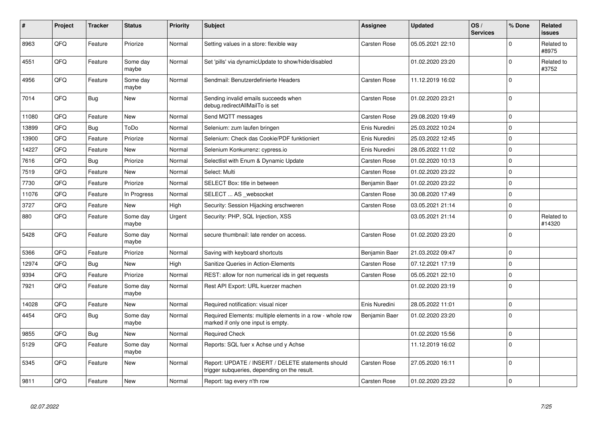| #     | Project | <b>Tracker</b> | <b>Status</b>     | <b>Priority</b> | <b>Subject</b>                                                                                     | Assignee      | <b>Updated</b>   | OS/<br><b>Services</b> | % Done         | Related<br><b>issues</b> |
|-------|---------|----------------|-------------------|-----------------|----------------------------------------------------------------------------------------------------|---------------|------------------|------------------------|----------------|--------------------------|
| 8963  | QFQ     | Feature        | Priorize          | Normal          | Setting values in a store: flexible way                                                            | Carsten Rose  | 05.05.2021 22:10 |                        | $\Omega$       | Related to<br>#8975      |
| 4551  | QFQ     | Feature        | Some day<br>maybe | Normal          | Set 'pills' via dynamicUpdate to show/hide/disabled                                                |               | 01.02.2020 23:20 |                        | $\Omega$       | Related to<br>#3752      |
| 4956  | QFQ     | Feature        | Some day<br>maybe | Normal          | Sendmail: Benutzerdefinierte Headers                                                               | Carsten Rose  | 11.12.2019 16:02 |                        | $\overline{0}$ |                          |
| 7014  | QFQ     | <b>Bug</b>     | New               | Normal          | Sending invalid emails succeeds when<br>debug.redirectAllMailTo is set                             | Carsten Rose  | 01.02.2020 23:21 |                        | $\Omega$       |                          |
| 11080 | QFQ     | Feature        | <b>New</b>        | Normal          | Send MQTT messages                                                                                 | Carsten Rose  | 29.08.2020 19:49 |                        | $\mathbf 0$    |                          |
| 13899 | QFQ     | <b>Bug</b>     | ToDo              | Normal          | Selenium: zum laufen bringen                                                                       | Enis Nuredini | 25.03.2022 10:24 |                        | $\overline{0}$ |                          |
| 13900 | QFQ     | Feature        | Priorize          | Normal          | Selenium: Check das Cookie/PDF funktioniert                                                        | Enis Nuredini | 25.03.2022 12:45 |                        | $\mathbf 0$    |                          |
| 14227 | QFQ     | Feature        | <b>New</b>        | Normal          | Selenium Konkurrenz: cypress.io                                                                    | Enis Nuredini | 28.05.2022 11:02 |                        | $\Omega$       |                          |
| 7616  | QFQ     | <b>Bug</b>     | Priorize          | Normal          | Selectlist with Enum & Dynamic Update                                                              | Carsten Rose  | 01.02.2020 10:13 |                        | $\Omega$       |                          |
| 7519  | QFQ     | Feature        | New               | Normal          | Select: Multi                                                                                      | Carsten Rose  | 01.02.2020 23:22 |                        | $\mathbf 0$    |                          |
| 7730  | QFQ     | Feature        | Priorize          | Normal          | SELECT Box: title in between                                                                       | Benjamin Baer | 01.02.2020 23:22 |                        | $\overline{0}$ |                          |
| 11076 | QFQ     | Feature        | In Progress       | Normal          | SELECT  AS websocket                                                                               | Carsten Rose  | 30.08.2020 17:49 |                        | $\mathbf 0$    |                          |
| 3727  | QFQ     | Feature        | <b>New</b>        | High            | Security: Session Hijacking erschweren                                                             | Carsten Rose  | 03.05.2021 21:14 |                        | 0              |                          |
| 880   | QFQ     | Feature        | Some day<br>maybe | Urgent          | Security: PHP, SQL Injection, XSS                                                                  |               | 03.05.2021 21:14 |                        | $\Omega$       | Related to<br>#14320     |
| 5428  | QFQ     | Feature        | Some day<br>maybe | Normal          | secure thumbnail: late render on access.                                                           | Carsten Rose  | 01.02.2020 23:20 |                        | $\overline{0}$ |                          |
| 5366  | QFQ     | Feature        | Priorize          | Normal          | Saving with keyboard shortcuts                                                                     | Benjamin Baer | 21.03.2022 09:47 |                        | $\mathbf 0$    |                          |
| 12974 | QFQ     | Bug            | New               | High            | Sanitize Queries in Action-Elements                                                                | Carsten Rose  | 07.12.2021 17:19 |                        | $\Omega$       |                          |
| 9394  | QFQ     | Feature        | Priorize          | Normal          | REST: allow for non numerical ids in get requests                                                  | Carsten Rose  | 05.05.2021 22:10 |                        | $\mathbf 0$    |                          |
| 7921  | QFQ     | Feature        | Some day<br>maybe | Normal          | Rest API Export: URL kuerzer machen                                                                |               | 01.02.2020 23:19 |                        | $\overline{0}$ |                          |
| 14028 | QFQ     | Feature        | New               | Normal          | Required notification: visual nicer                                                                | Enis Nuredini | 28.05.2022 11:01 |                        | $\Omega$       |                          |
| 4454  | QFQ     | Bug            | Some day<br>maybe | Normal          | Required Elements: multiple elements in a row - whole row<br>marked if only one input is empty.    | Benjamin Baer | 01.02.2020 23:20 |                        | l O            |                          |
| 9855  | QFQ     | <b>Bug</b>     | <b>New</b>        | Normal          | <b>Required Check</b>                                                                              |               | 01.02.2020 15:56 |                        | $\overline{0}$ |                          |
| 5129  | QFQ     | Feature        | Some day<br>maybe | Normal          | Reports: SQL fuer x Achse und y Achse                                                              |               | 11.12.2019 16:02 |                        | $\Omega$       |                          |
| 5345  | QFQ     | Feature        | <b>New</b>        | Normal          | Report: UPDATE / INSERT / DELETE statements should<br>trigger subqueries, depending on the result. | Carsten Rose  | 27.05.2020 16:11 |                        | $\overline{0}$ |                          |
| 9811  | QFQ     | Feature        | <b>New</b>        | Normal          | Report: tag every n'th row                                                                         | Carsten Rose  | 01.02.2020 23:22 |                        | $\overline{0}$ |                          |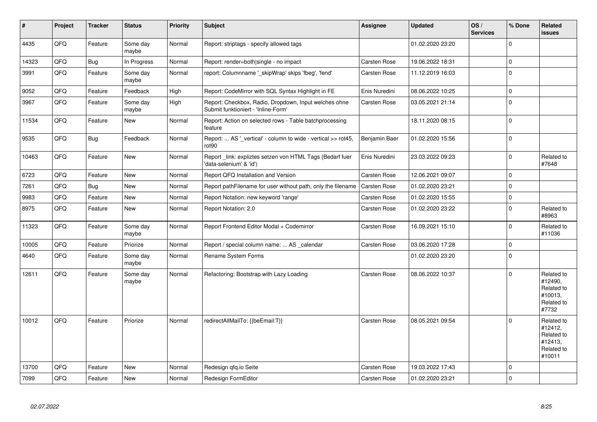| $\vert$ # | Project | <b>Tracker</b> | <b>Status</b>     | <b>Priority</b> | <b>Subject</b>                                                                               | Assignee            | <b>Updated</b>   | OS/<br><b>Services</b> | % Done         | <b>Related</b><br><b>issues</b>                                        |
|-----------|---------|----------------|-------------------|-----------------|----------------------------------------------------------------------------------------------|---------------------|------------------|------------------------|----------------|------------------------------------------------------------------------|
| 4435      | QFQ     | Feature        | Some day<br>maybe | Normal          | Report: striptags - specify allowed tags                                                     |                     | 01.02.2020 23:20 |                        | $\Omega$       |                                                                        |
| 14323     | QFQ     | <b>Bug</b>     | In Progress       | Normal          | Report: render=both single - no impact                                                       | Carsten Rose        | 19.06.2022 18:31 |                        | $\pmb{0}$      |                                                                        |
| 3991      | QFQ     | Feature        | Some day<br>maybe | Normal          | report: Columnname ' skipWrap' skips 'fbeg', 'fend'                                          | <b>Carsten Rose</b> | 11.12.2019 16:03 |                        | $\overline{0}$ |                                                                        |
| 9052      | QFQ     | Feature        | Feedback          | High            | Report: CodeMirror with SQL Syntax Highlight in FE                                           | Enis Nuredini       | 08.06.2022 10:25 |                        | $\mathbf 0$    |                                                                        |
| 3967      | QFQ     | Feature        | Some day<br>maybe | High            | Report: Checkbox, Radio, Dropdown, Input welches ohne<br>Submit funktioniert - 'Inline-Form' | Carsten Rose        | 03.05.2021 21:14 |                        | $\overline{0}$ |                                                                        |
| 11534     | QFQ     | Feature        | <b>New</b>        | Normal          | Report: Action on selected rows - Table batchprocessing<br>feature                           |                     | 18.11.2020 08:15 |                        | $\overline{0}$ |                                                                        |
| 9535      | QFQ     | Bug            | Feedback          | Normal          | Report:  AS ' vertical' - column to wide - vertical >> rot45,<br>rot90                       | Benjamin Baer       | 01.02.2020 15:56 |                        | $\pmb{0}$      |                                                                        |
| 10463     | QFQ     | Feature        | <b>New</b>        | Normal          | Report_link: expliztes setzen von HTML Tags (Bedarf fuer<br>'data-selenium' & 'id')          | Enis Nuredini       | 23.03.2022 09:23 |                        | $\Omega$       | Related to<br>#7648                                                    |
| 6723      | QFQ     | Feature        | <b>New</b>        | Normal          | Report QFQ Installation and Version                                                          | <b>Carsten Rose</b> | 12.06.2021 09:07 |                        | $\overline{0}$ |                                                                        |
| 7261      | QFQ     | Bug            | New               | Normal          | Report pathFilename for user without path, only the filename                                 | <b>Carsten Rose</b> | 01.02.2020 23:21 |                        | $\pmb{0}$      |                                                                        |
| 9983      | QFQ     | Feature        | <b>New</b>        | Normal          | Report Notation: new keyword 'range'                                                         | Carsten Rose        | 01.02.2020 15:55 |                        | $\overline{0}$ |                                                                        |
| 8975      | QFQ     | Feature        | <b>New</b>        | Normal          | Report Notation: 2.0                                                                         | Carsten Rose        | 01.02.2020 23:22 |                        | $\overline{0}$ | Related to<br>#8963                                                    |
| 11323     | QFQ     | Feature        | Some day<br>maybe | Normal          | Report Frontend Editor Modal + Codemirror                                                    | Carsten Rose        | 16.09.2021 15:10 |                        | $\mathbf 0$    | Related to<br>#11036                                                   |
| 10005     | QFQ     | Feature        | Priorize          | Normal          | Report / special column name:  AS _calendar                                                  | Carsten Rose        | 03.06.2020 17:28 |                        | $\pmb{0}$      |                                                                        |
| 4640      | QFQ     | Feature        | Some day<br>maybe | Normal          | Rename System Forms                                                                          |                     | 01.02.2020 23:20 |                        | $\overline{0}$ |                                                                        |
| 12611     | QFQ     | Feature        | Some day<br>maybe | Normal          | Refactoring: Bootstrap with Lazy Loading                                                     | Carsten Rose        | 08.06.2022 10:37 |                        | $\mathbf 0$    | Related to<br>#12490,<br>Related to<br>#10013,<br>Related to<br>#7732  |
| 10012     | QFQ     | Feature        | Priorize          | Normal          | redirectAllMailTo: {{beEmail:T}}                                                             | <b>Carsten Rose</b> | 08.05.2021 09:54 |                        | $\mathbf 0$    | Related to<br>#12412,<br>Related to<br>#12413,<br>Related to<br>#10011 |
| 13700     | QFQ     | Feature        | <b>New</b>        | Normal          | Redesign qfq.io Seite                                                                        | Carsten Rose        | 19.03.2022 17:43 |                        | $\mathbf 0$    |                                                                        |
| 7099      | QFQ     | Feature        | New               | Normal          | Redesign FormEditor                                                                          | <b>Carsten Rose</b> | 01.02.2020 23:21 |                        | $\overline{0}$ |                                                                        |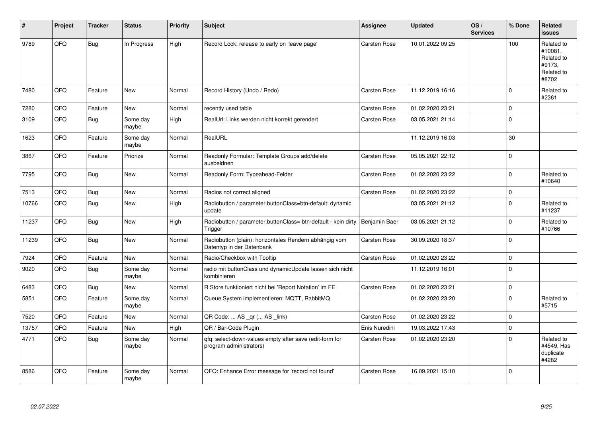| #     | Project | <b>Tracker</b> | <b>Status</b>     | <b>Priority</b> | <b>Subject</b>                                                                      | <b>Assignee</b> | <b>Updated</b>   | OS/<br><b>Services</b> | % Done       | Related<br><b>issues</b>                                             |
|-------|---------|----------------|-------------------|-----------------|-------------------------------------------------------------------------------------|-----------------|------------------|------------------------|--------------|----------------------------------------------------------------------|
| 9789  | QFQ     | Bug            | In Progress       | High            | Record Lock: release to early on 'leave page'                                       | Carsten Rose    | 10.01.2022 09:25 |                        | 100          | Related to<br>#10081.<br>Related to<br>#9173.<br>Related to<br>#8702 |
| 7480  | QFQ     | Feature        | New               | Normal          | Record History (Undo / Redo)                                                        | Carsten Rose    | 11.12.2019 16:16 |                        | $\Omega$     | Related to<br>#2361                                                  |
| 7280  | QFQ     | Feature        | <b>New</b>        | Normal          | recently used table                                                                 | Carsten Rose    | 01.02.2020 23:21 |                        | $\mathbf 0$  |                                                                      |
| 3109  | QFQ     | <b>Bug</b>     | Some day<br>maybe | High            | RealUrl: Links werden nicht korrekt gerendert                                       | Carsten Rose    | 03.05.2021 21:14 |                        | $\mathbf{0}$ |                                                                      |
| 1623  | QFQ     | Feature        | Some day<br>maybe | Normal          | RealURL                                                                             |                 | 11.12.2019 16:03 |                        | 30           |                                                                      |
| 3867  | QFQ     | Feature        | Priorize          | Normal          | Readonly Formular: Template Groups add/delete<br>ausbeldnen                         | Carsten Rose    | 05.05.2021 22:12 |                        | $\mathbf 0$  |                                                                      |
| 7795  | QFQ     | <b>Bug</b>     | <b>New</b>        | Normal          | Readonly Form: Typeahead-Felder                                                     | Carsten Rose    | 01.02.2020 23:22 |                        | $\mathbf 0$  | Related to<br>#10640                                                 |
| 7513  | QFQ     | Bug            | New               | Normal          | Radios not correct aligned                                                          | Carsten Rose    | 01.02.2020 23:22 |                        | $\mathbf 0$  |                                                                      |
| 10766 | QFQ     | <b>Bug</b>     | New               | High            | Radiobutton / parameter.buttonClass=btn-default: dynamic<br>update                  |                 | 03.05.2021 21:12 |                        | $\Omega$     | Related to<br>#11237                                                 |
| 11237 | QFQ     | Bug            | <b>New</b>        | High            | Radiobutton / parameter.buttonClass= btn-default - kein dirty<br>Trigger            | Benjamin Baer   | 03.05.2021 21:12 |                        | $\mathbf 0$  | Related to<br>#10766                                                 |
| 11239 | QFQ     | Bug            | <b>New</b>        | Normal          | Radiobutton (plain): horizontales Rendern abhängig vom<br>Datentyp in der Datenbank | Carsten Rose    | 30.09.2020 18:37 |                        | $\mathbf{0}$ |                                                                      |
| 7924  | QFQ     | Feature        | <b>New</b>        | Normal          | Radio/Checkbox with Tooltip                                                         | Carsten Rose    | 01.02.2020 23:22 |                        | $\mathbf 0$  |                                                                      |
| 9020  | QFQ     | Bug            | Some day<br>maybe | Normal          | radio mit buttonClass und dynamicUpdate lassen sich nicht<br>kombinieren            |                 | 11.12.2019 16:01 |                        | $\mathbf 0$  |                                                                      |
| 6483  | QFQ     | Bug            | <b>New</b>        | Normal          | R Store funktioniert nicht bei 'Report Notation' im FE                              | Carsten Rose    | 01.02.2020 23:21 |                        | $\mathbf 0$  |                                                                      |
| 5851  | QFQ     | Feature        | Some day<br>maybe | Normal          | Queue System implementieren: MQTT, RabbitMQ                                         |                 | 01.02.2020 23:20 |                        | $\Omega$     | Related to<br>#5715                                                  |
| 7520  | QFQ     | Feature        | <b>New</b>        | Normal          | QR Code:  AS _qr ( AS _link)                                                        | Carsten Rose    | 01.02.2020 23:22 |                        | $\mathbf 0$  |                                                                      |
| 13757 | QFQ     | Feature        | New               | High            | QR / Bar-Code Plugin                                                                | Enis Nuredini   | 19.03.2022 17:43 |                        | $\pmb{0}$    |                                                                      |
| 4771  | QFQ     | Bug            | Some day<br>maybe | Normal          | gfg: select-down-values empty after save (edit-form for<br>program administrators)  | Carsten Rose    | 01.02.2020 23:20 |                        | $\mathbf 0$  | Related to<br>#4549, Has<br>duplicate<br>#4282                       |
| 8586  | QFQ     | Feature        | Some day<br>maybe | Normal          | QFQ: Enhance Error message for 'record not found'                                   | Carsten Rose    | 16.09.2021 15:10 |                        | $\Omega$     |                                                                      |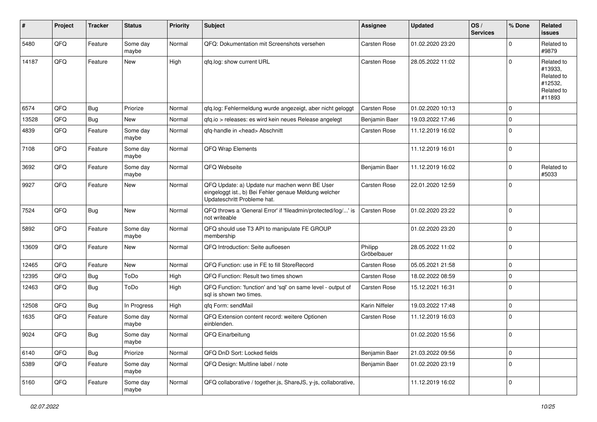| #     | Project | <b>Tracker</b> | <b>Status</b>     | <b>Priority</b> | <b>Subject</b>                                                                                                                        | <b>Assignee</b>        | <b>Updated</b>   | OS/<br><b>Services</b> | % Done         | Related<br><b>issues</b>                                               |
|-------|---------|----------------|-------------------|-----------------|---------------------------------------------------------------------------------------------------------------------------------------|------------------------|------------------|------------------------|----------------|------------------------------------------------------------------------|
| 5480  | QFQ     | Feature        | Some day<br>maybe | Normal          | QFQ: Dokumentation mit Screenshots versehen                                                                                           | <b>Carsten Rose</b>    | 01.02.2020 23:20 |                        | $\Omega$       | Related to<br>#9879                                                    |
| 14187 | QFQ     | Feature        | New               | High            | gfg.log: show current URL                                                                                                             | Carsten Rose           | 28.05.2022 11:02 |                        | $\mathbf 0$    | Related to<br>#13933,<br>Related to<br>#12532,<br>Related to<br>#11893 |
| 6574  | QFQ     | Bug            | Priorize          | Normal          | gfg.log: Fehlermeldung wurde angezeigt, aber nicht geloggt                                                                            | <b>Carsten Rose</b>    | 01.02.2020 10:13 |                        | $\mathbf 0$    |                                                                        |
| 13528 | QFQ     | Bug            | New               | Normal          | qfq.io > releases: es wird kein neues Release angelegt                                                                                | Benjamin Baer          | 19.03.2022 17:46 |                        | $\mathbf 0$    |                                                                        |
| 4839  | QFQ     | Feature        | Some day<br>maybe | Normal          | qfq-handle in <head> Abschnitt</head>                                                                                                 | Carsten Rose           | 11.12.2019 16:02 |                        | $\mathbf 0$    |                                                                        |
| 7108  | QFQ     | Feature        | Some day<br>maybe | Normal          | QFQ Wrap Elements                                                                                                                     |                        | 11.12.2019 16:01 |                        | $\overline{0}$ |                                                                        |
| 3692  | QFQ     | Feature        | Some day<br>maybe | Normal          | QFQ Webseite                                                                                                                          | Benjamin Baer          | 11.12.2019 16:02 |                        | $\mathbf 0$    | Related to<br>#5033                                                    |
| 9927  | QFQ     | Feature        | New               | Normal          | QFQ Update: a) Update nur machen wenn BE User<br>eingeloggt ist., b) Bei Fehler genaue Meldung welcher<br>Updateschritt Probleme hat. | Carsten Rose           | 22.01.2020 12:59 |                        | $\overline{0}$ |                                                                        |
| 7524  | QFQ     | Bug            | <b>New</b>        | Normal          | QFQ throws a 'General Error' if 'fileadmin/protected/log/' is<br>not writeable                                                        | <b>Carsten Rose</b>    | 01.02.2020 23:22 |                        | $\overline{0}$ |                                                                        |
| 5892  | QFQ     | Feature        | Some day<br>maybe | Normal          | QFQ should use T3 API to manipulate FE GROUP<br>membership                                                                            |                        | 01.02.2020 23:20 |                        | $\mathbf 0$    |                                                                        |
| 13609 | QFQ     | Feature        | New               | Normal          | QFQ Introduction: Seite aufloesen                                                                                                     | Philipp<br>Gröbelbauer | 28.05.2022 11:02 |                        | $\overline{0}$ |                                                                        |
| 12465 | QFQ     | Feature        | New               | Normal          | QFQ Function: use in FE to fill StoreRecord                                                                                           | <b>Carsten Rose</b>    | 05.05.2021 21:58 |                        | $\mathbf 0$    |                                                                        |
| 12395 | QFQ     | Bug            | ToDo              | High            | QFQ Function: Result two times shown                                                                                                  | Carsten Rose           | 18.02.2022 08:59 |                        | $\mathbf 0$    |                                                                        |
| 12463 | QFQ     | Bug            | ToDo              | High            | QFQ Function: 'function' and 'sql' on same level - output of<br>sal is shown two times.                                               | Carsten Rose           | 15.12.2021 16:31 |                        | $\mathbf 0$    |                                                                        |
| 12508 | QFQ     | <b>Bug</b>     | In Progress       | High            | afa Form: sendMail                                                                                                                    | Karin Niffeler         | 19.03.2022 17:48 |                        | $\mathbf 0$    |                                                                        |
| 1635  | QFQ     | Feature        | Some day<br>maybe | Normal          | QFQ Extension content record: weitere Optionen<br>einblenden.                                                                         | Carsten Rose           | 11.12.2019 16:03 |                        | $\overline{0}$ |                                                                        |
| 9024  | QFQ     | Bug            | Some day<br>maybe | Normal          | QFQ Einarbeitung                                                                                                                      |                        | 01.02.2020 15:56 |                        | $\overline{0}$ |                                                                        |
| 6140  | QFQ     | Bug            | Priorize          | Normal          | QFQ DnD Sort: Locked fields                                                                                                           | Benjamin Baer          | 21.03.2022 09:56 |                        | $\pmb{0}$      |                                                                        |
| 5389  | QFQ     | Feature        | Some day<br>maybe | Normal          | QFQ Design: Multline label / note                                                                                                     | Benjamin Baer          | 01.02.2020 23:19 |                        | $\mathbf 0$    |                                                                        |
| 5160  | QFQ     | Feature        | Some day<br>maybe | Normal          | QFQ collaborative / together.js, ShareJS, y-js, collaborative,                                                                        |                        | 11.12.2019 16:02 |                        | $\overline{0}$ |                                                                        |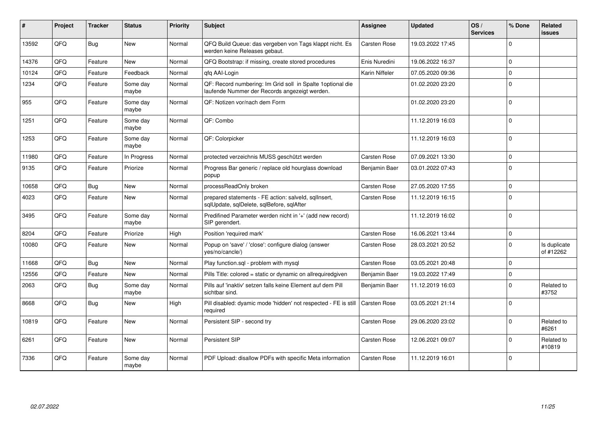| ∦     | Project | <b>Tracker</b> | <b>Status</b>     | <b>Priority</b> | <b>Subject</b>                                                                                              | Assignee       | <b>Updated</b>   | OS/<br><b>Services</b> | % Done       | Related<br><b>issues</b>  |
|-------|---------|----------------|-------------------|-----------------|-------------------------------------------------------------------------------------------------------------|----------------|------------------|------------------------|--------------|---------------------------|
| 13592 | QFQ     | <b>Bug</b>     | <b>New</b>        | Normal          | QFQ Build Queue: das vergeben von Tags klappt nicht. Es<br>werden keine Releases gebaut.                    | Carsten Rose   | 19.03.2022 17:45 |                        | $\Omega$     |                           |
| 14376 | QFQ     | Feature        | <b>New</b>        | Normal          | QFQ Bootstrap: if missing, create stored procedures                                                         | Enis Nuredini  | 19.06.2022 16:37 |                        | $\Omega$     |                           |
| 10124 | QFQ     | Feature        | Feedback          | Normal          | gfg AAI-Login                                                                                               | Karin Niffeler | 07.05.2020 09:36 |                        | $\Omega$     |                           |
| 1234  | QFQ     | Feature        | Some day<br>maybe | Normal          | QF: Record numbering: Im Grid soll in Spalte 1optional die<br>laufende Nummer der Records angezeigt werden. |                | 01.02.2020 23:20 |                        | $\Omega$     |                           |
| 955   | QFQ     | Feature        | Some day<br>maybe | Normal          | QF: Notizen vor/nach dem Form                                                                               |                | 01.02.2020 23:20 |                        | $\Omega$     |                           |
| 1251  | QFQ     | Feature        | Some day<br>maybe | Normal          | QF: Combo                                                                                                   |                | 11.12.2019 16:03 |                        | $\Omega$     |                           |
| 1253  | QFQ     | Feature        | Some day<br>maybe | Normal          | QF: Colorpicker                                                                                             |                | 11.12.2019 16:03 |                        | $\Omega$     |                           |
| 11980 | QFQ     | Feature        | In Progress       | Normal          | protected verzeichnis MUSS geschützt werden                                                                 | Carsten Rose   | 07.09.2021 13:30 |                        | $\Omega$     |                           |
| 9135  | QFQ     | Feature        | Priorize          | Normal          | Progress Bar generic / replace old hourglass download<br>popup                                              | Benjamin Baer  | 03.01.2022 07:43 |                        | $\Omega$     |                           |
| 10658 | QFQ     | <b>Bug</b>     | <b>New</b>        | Normal          | processReadOnly broken                                                                                      | Carsten Rose   | 27.05.2020 17:55 |                        | $\Omega$     |                           |
| 4023  | QFQ     | Feature        | <b>New</b>        | Normal          | prepared statements - FE action: salveld, sqllnsert,<br>sqlUpdate, sqlDelete, sqlBefore, sqlAfter           | Carsten Rose   | 11.12.2019 16:15 |                        | $\mathbf{0}$ |                           |
| 3495  | QFQ     | Feature        | Some day<br>maybe | Normal          | Predifined Parameter werden nicht in '+' (add new record)<br>SIP gerendert.                                 |                | 11.12.2019 16:02 |                        | $\Omega$     |                           |
| 8204  | QFQ     | Feature        | Priorize          | High            | Position 'required mark'                                                                                    | Carsten Rose   | 16.06.2021 13:44 |                        | $\mathbf 0$  |                           |
| 10080 | QFQ     | Feature        | <b>New</b>        | Normal          | Popup on 'save' / 'close': configure dialog (answer<br>yes/no/cancle/)                                      | Carsten Rose   | 28.03.2021 20:52 |                        | $\Omega$     | Is duplicate<br>of #12262 |
| 11668 | QFQ     | Bug            | <b>New</b>        | Normal          | Play function.sql - problem with mysql                                                                      | Carsten Rose   | 03.05.2021 20:48 |                        | $\Omega$     |                           |
| 12556 | QFQ     | Feature        | <b>New</b>        | Normal          | Pills Title: colored = static or dynamic on allrequiredgiven                                                | Benjamin Baer  | 19.03.2022 17:49 |                        | $\Omega$     |                           |
| 2063  | QFQ     | Bug            | Some day<br>maybe | Normal          | Pills auf 'inaktiv' setzen falls keine Element auf dem Pill<br>sichtbar sind.                               | Benjamin Baer  | 11.12.2019 16:03 |                        | $\Omega$     | Related to<br>#3752       |
| 8668  | QFQ     | <b>Bug</b>     | New               | High            | Pill disabled: dyamic mode 'hidden' not respected - FE is still<br>required                                 | Carsten Rose   | 03.05.2021 21:14 |                        | $\Omega$     |                           |
| 10819 | QFQ     | Feature        | <b>New</b>        | Normal          | Persistent SIP - second try                                                                                 | Carsten Rose   | 29.06.2020 23:02 |                        | <sup>0</sup> | Related to<br>#6261       |
| 6261  | QFQ     | Feature        | <b>New</b>        | Normal          | Persistent SIP                                                                                              | Carsten Rose   | 12.06.2021 09:07 |                        | U            | Related to<br>#10819      |
| 7336  | QFQ     | Feature        | Some day<br>maybe | Normal          | PDF Upload: disallow PDFs with specific Meta information                                                    | Carsten Rose   | 11.12.2019 16:01 |                        | $\Omega$     |                           |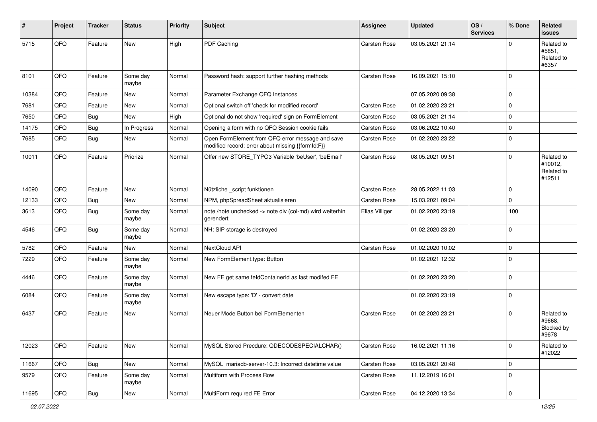| #     | Project | <b>Tracker</b> | <b>Status</b>     | <b>Priority</b> | Subject                                                                                               | <b>Assignee</b>     | <b>Updated</b>   | OS/<br><b>Services</b> | % Done         | Related<br><b>issues</b>                      |
|-------|---------|----------------|-------------------|-----------------|-------------------------------------------------------------------------------------------------------|---------------------|------------------|------------------------|----------------|-----------------------------------------------|
| 5715  | QFQ     | Feature        | New               | High            | PDF Caching                                                                                           | <b>Carsten Rose</b> | 03.05.2021 21:14 |                        | $\Omega$       | Related to<br>#5851,<br>Related to<br>#6357   |
| 8101  | QFQ     | Feature        | Some day<br>maybe | Normal          | Password hash: support further hashing methods                                                        | Carsten Rose        | 16.09.2021 15:10 |                        | $\overline{0}$ |                                               |
| 10384 | QFQ     | Feature        | New               | Normal          | Parameter Exchange QFQ Instances                                                                      |                     | 07.05.2020 09:38 |                        | $\overline{0}$ |                                               |
| 7681  | QFQ     | Feature        | New               | Normal          | Optional switch off 'check for modified record'                                                       | Carsten Rose        | 01.02.2020 23:21 |                        | $\mathbf 0$    |                                               |
| 7650  | QFQ     | Bug            | New               | High            | Optional do not show 'required' sign on FormElement                                                   | Carsten Rose        | 03.05.2021 21:14 |                        | $\overline{0}$ |                                               |
| 14175 | QFQ     | Bug            | In Progress       | Normal          | Opening a form with no QFQ Session cookie fails                                                       | Carsten Rose        | 03.06.2022 10:40 |                        | $\mathbf 0$    |                                               |
| 7685  | QFQ     | Bug            | New               | Normal          | Open FormElement from QFQ error message and save<br>modified record: error about missing {{formId:F}} | Carsten Rose        | 01.02.2020 23:22 |                        | $\overline{0}$ |                                               |
| 10011 | QFQ     | Feature        | Priorize          | Normal          | Offer new STORE_TYPO3 Variable 'beUser', 'beEmail'                                                    | Carsten Rose        | 08.05.2021 09:51 |                        | $\mathbf 0$    | Related to<br>#10012,<br>Related to<br>#12511 |
| 14090 | QFQ     | Feature        | New               | Normal          | Nützliche _script funktionen                                                                          | Carsten Rose        | 28.05.2022 11:03 |                        | $\mathbf 0$    |                                               |
| 12133 | QFQ     | Bug            | New               | Normal          | NPM, phpSpreadSheet aktualisieren                                                                     | Carsten Rose        | 15.03.2021 09:04 |                        | $\mathbf{0}$   |                                               |
| 3613  | QFQ     | Bug            | Some day<br>maybe | Normal          | note /note unchecked -> note div (col-md) wird weiterhin<br>gerendert                                 | Elias Villiger      | 01.02.2020 23:19 |                        | 100            |                                               |
| 4546  | QFQ     | Bug            | Some day<br>maybe | Normal          | NH: SIP storage is destroyed                                                                          |                     | 01.02.2020 23:20 |                        | $\mathbf 0$    |                                               |
| 5782  | QFQ     | Feature        | New               | Normal          | NextCloud API                                                                                         | <b>Carsten Rose</b> | 01.02.2020 10:02 |                        | $\mathbf 0$    |                                               |
| 7229  | QFQ     | Feature        | Some day<br>maybe | Normal          | New FormElement.type: Button                                                                          |                     | 01.02.2021 12:32 |                        | $\overline{0}$ |                                               |
| 4446  | QFQ     | Feature        | Some day<br>maybe | Normal          | New FE get same feldContainerId as last modifed FE                                                    |                     | 01.02.2020 23:20 |                        | $\overline{0}$ |                                               |
| 6084  | QFQ     | Feature        | Some day<br>maybe | Normal          | New escape type: 'D' - convert date                                                                   |                     | 01.02.2020 23:19 |                        | $\overline{0}$ |                                               |
| 6437  | QFQ     | Feature        | New               | Normal          | Neuer Mode Button bei FormElementen                                                                   | <b>Carsten Rose</b> | 01.02.2020 23:21 |                        | $\mathbf 0$    | Related to<br>#9668,<br>Blocked by<br>#9678   |
| 12023 | QFQ     | Feature        | New               | Normal          | MySQL Stored Precdure: QDECODESPECIALCHAR()                                                           | Carsten Rose        | 16.02.2021 11:16 |                        | $\mathbf 0$    | Related to<br>#12022                          |
| 11667 | QFQ     | Bug            | New               | Normal          | MySQL mariadb-server-10.3: Incorrect datetime value                                                   | Carsten Rose        | 03.05.2021 20:48 |                        | $\mathbf 0$    |                                               |
| 9579  | QFQ     | Feature        | Some day<br>maybe | Normal          | Multiform with Process Row                                                                            | Carsten Rose        | 11.12.2019 16:01 |                        | $\mathbf 0$    |                                               |
| 11695 | QFG     | Bug            | New               | Normal          | MultiForm required FE Error                                                                           | Carsten Rose        | 04.12.2020 13:34 |                        | $\overline{0}$ |                                               |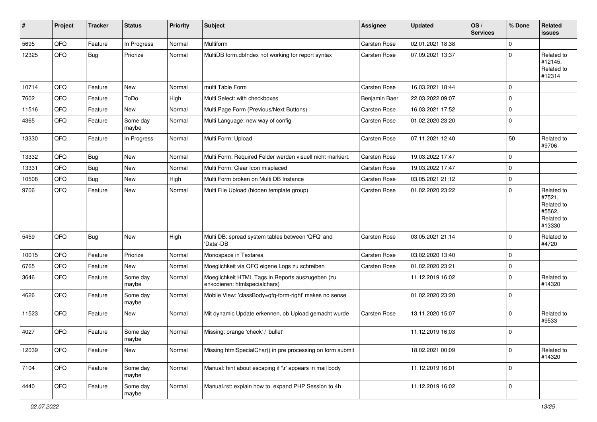| $\vert$ # | Project | <b>Tracker</b> | <b>Status</b>     | <b>Priority</b> | <b>Subject</b>                                                                    | <b>Assignee</b>     | <b>Updated</b>   | OS/<br><b>Services</b> | % Done      | Related<br><b>issues</b>                                             |
|-----------|---------|----------------|-------------------|-----------------|-----------------------------------------------------------------------------------|---------------------|------------------|------------------------|-------------|----------------------------------------------------------------------|
| 5695      | QFQ     | Feature        | In Progress       | Normal          | Multiform                                                                         | <b>Carsten Rose</b> | 02.01.2021 18:38 |                        | $\Omega$    |                                                                      |
| 12325     | QFQ     | <b>Bug</b>     | Priorize          | Normal          | MultiDB form.dblndex not working for report syntax                                | Carsten Rose        | 07.09.2021 13:37 |                        | $\Omega$    | Related to<br>#12145,<br>Related to<br>#12314                        |
| 10714     | QFQ     | Feature        | <b>New</b>        | Normal          | multi Table Form                                                                  | <b>Carsten Rose</b> | 16.03.2021 18:44 |                        | $\mathbf 0$ |                                                                      |
| 7602      | QFQ     | Feature        | ToDo              | High            | Multi Select: with checkboxes                                                     | Benjamin Baer       | 22.03.2022 09:07 |                        | $\mathbf 0$ |                                                                      |
| 11516     | QFQ     | Feature        | <b>New</b>        | Normal          | Multi Page Form (Previous/Next Buttons)                                           | Carsten Rose        | 16.03.2021 17:52 |                        | $\mathbf 0$ |                                                                      |
| 4365      | QFQ     | Feature        | Some day<br>maybe | Normal          | Multi Language: new way of config                                                 | Carsten Rose        | 01.02.2020 23:20 |                        | $\mathbf 0$ |                                                                      |
| 13330     | QFQ     | Feature        | In Progress       | Normal          | Multi Form: Upload                                                                | Carsten Rose        | 07.11.2021 12:40 |                        | 50          | Related to<br>#9706                                                  |
| 13332     | QFQ     | <b>Bug</b>     | <b>New</b>        | Normal          | Multi Form: Required Felder werden visuell nicht markiert.                        | Carsten Rose        | 19.03.2022 17:47 |                        | $\mathbf 0$ |                                                                      |
| 13331     | QFQ     | Bug            | <b>New</b>        | Normal          | Multi Form: Clear Icon misplaced                                                  | Carsten Rose        | 19.03.2022 17:47 |                        | $\mathbf 0$ |                                                                      |
| 10508     | QFQ     | <b>Bug</b>     | <b>New</b>        | High            | Multi Form broken on Multi DB Instance                                            | <b>Carsten Rose</b> | 03.05.2021 21:12 |                        | $\mathbf 0$ |                                                                      |
| 9706      | QFQ     | Feature        | <b>New</b>        | Normal          | Multi File Upload (hidden template group)                                         | Carsten Rose        | 01.02.2020 23:22 |                        | $\Omega$    | Related to<br>#7521,<br>Related to<br>#5562,<br>Related to<br>#13330 |
| 5459      | QFQ     | <b>Bug</b>     | <b>New</b>        | High            | Multi DB: spread system tables between 'QFQ' and<br>'Data'-DB                     | Carsten Rose        | 03.05.2021 21:14 |                        | $\Omega$    | Related to<br>#4720                                                  |
| 10015     | QFQ     | Feature        | Priorize          | Normal          | Monospace in Textarea                                                             | Carsten Rose        | 03.02.2020 13:40 |                        | $\mathbf 0$ |                                                                      |
| 6765      | QFQ     | Feature        | New               | Normal          | Moeglichkeit via QFQ eigene Logs zu schreiben                                     | Carsten Rose        | 01.02.2020 23:21 |                        | $\mathbf 0$ |                                                                      |
| 3646      | QFQ     | Feature        | Some day<br>maybe | Normal          | Moeglichkeit HTML Tags in Reports auszugeben (zu<br>enkodieren: htmlspecialchars) |                     | 11.12.2019 16:02 |                        | $\mathbf 0$ | Related to<br>#14320                                                 |
| 4626      | QFQ     | Feature        | Some day<br>maybe | Normal          | Mobile View: 'classBody=qfq-form-right' makes no sense                            |                     | 01.02.2020 23:20 |                        | $\mathbf 0$ |                                                                      |
| 11523     | QFQ     | Feature        | New               | Normal          | Mit dynamic Update erkennen, ob Upload gemacht wurde                              | <b>Carsten Rose</b> | 13.11.2020 15:07 |                        | $\Omega$    | Related to<br>#9533                                                  |
| 4027      | QFQ     | Feature        | Some day<br>maybe | Normal          | Missing: orange 'check' / 'bullet'                                                |                     | 11.12.2019 16:03 |                        | $\mathbf 0$ |                                                                      |
| 12039     | QFO     | Feature        | New               | Normal          | Missing htmlSpecialChar() in pre processing on form submit                        |                     | 18.02.2021 00:09 |                        | $\mathbf 0$ | Related to<br>#14320                                                 |
| 7104      | QFQ     | Feature        | Some day<br>maybe | Normal          | Manual: hint about escaping if '\r' appears in mail body                          |                     | 11.12.2019 16:01 |                        | $\mathbf 0$ |                                                                      |
| 4440      | QFO     | Feature        | Some day<br>maybe | Normal          | Manual.rst: explain how to. expand PHP Session to 4h                              |                     | 11.12.2019 16:02 |                        | $\mathbf 0$ |                                                                      |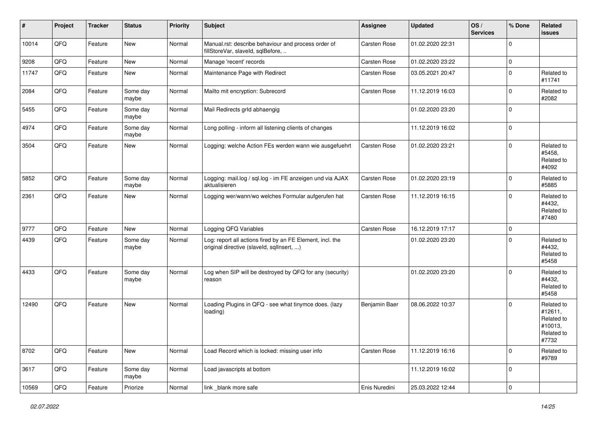| #     | Project | <b>Tracker</b> | <b>Status</b>     | <b>Priority</b> | <b>Subject</b>                                                                                         | <b>Assignee</b>     | <b>Updated</b>   | OS/<br><b>Services</b> | % Done      | Related<br><b>issues</b>                                              |
|-------|---------|----------------|-------------------|-----------------|--------------------------------------------------------------------------------------------------------|---------------------|------------------|------------------------|-------------|-----------------------------------------------------------------------|
| 10014 | QFQ     | Feature        | New               | Normal          | Manual.rst: describe behaviour and process order of<br>fillStoreVar, slaveId, sqlBefore,               | Carsten Rose        | 01.02.2020 22:31 |                        | $\mathbf 0$ |                                                                       |
| 9208  | QFQ     | Feature        | New               | Normal          | Manage 'recent' records                                                                                | Carsten Rose        | 01.02.2020 23:22 |                        | $\mathbf 0$ |                                                                       |
| 11747 | QFQ     | Feature        | New               | Normal          | Maintenance Page with Redirect                                                                         | Carsten Rose        | 03.05.2021 20:47 |                        | $\mathbf 0$ | Related to<br>#11741                                                  |
| 2084  | QFQ     | Feature        | Some day<br>maybe | Normal          | Mailto mit encryption: Subrecord                                                                       | Carsten Rose        | 11.12.2019 16:03 |                        | $\pmb{0}$   | Related to<br>#2082                                                   |
| 5455  | QFQ     | Feature        | Some day<br>maybe | Normal          | Mail Redirects grld abhaengig                                                                          |                     | 01.02.2020 23:20 |                        | $\mathbf 0$ |                                                                       |
| 4974  | QFQ     | Feature        | Some day<br>maybe | Normal          | Long polling - inform all listening clients of changes                                                 |                     | 11.12.2019 16:02 |                        | $\mathbf 0$ |                                                                       |
| 3504  | QFQ     | Feature        | New               | Normal          | Logging: welche Action FEs werden wann wie ausgefuehrt                                                 | <b>Carsten Rose</b> | 01.02.2020 23:21 |                        | $\mathbf 0$ | Related to<br>#5458.<br>Related to<br>#4092                           |
| 5852  | QFQ     | Feature        | Some day<br>maybe | Normal          | Logging: mail.log / sql.log - im FE anzeigen und via AJAX<br>aktualisieren                             | <b>Carsten Rose</b> | 01.02.2020 23:19 |                        | $\mathbf 0$ | Related to<br>#5885                                                   |
| 2361  | QFQ     | Feature        | New               | Normal          | Logging wer/wann/wo welches Formular aufgerufen hat                                                    | <b>Carsten Rose</b> | 11.12.2019 16:15 |                        | $\Omega$    | Related to<br>#4432.<br>Related to<br>#7480                           |
| 9777  | QFQ     | Feature        | New               | Normal          | Logging QFQ Variables                                                                                  | Carsten Rose        | 16.12.2019 17:17 |                        | $\mathbf 0$ |                                                                       |
| 4439  | QFQ     | Feature        | Some day<br>maybe | Normal          | Log: report all actions fired by an FE Element, incl. the<br>original directive (slaveld, sqllnsert, ) |                     | 01.02.2020 23:20 |                        | $\mathbf 0$ | Related to<br>#4432,<br>Related to<br>#5458                           |
| 4433  | QFQ     | Feature        | Some day<br>maybe | Normal          | Log when SIP will be destroyed by QFQ for any (security)<br>reason                                     |                     | 01.02.2020 23:20 |                        | $\mathbf 0$ | Related to<br>#4432,<br>Related to<br>#5458                           |
| 12490 | QFQ     | Feature        | New               | Normal          | Loading Plugins in QFQ - see what tinymce does. (lazy<br>loading)                                      | Benjamin Baer       | 08.06.2022 10:37 |                        | $\mathbf 0$ | Related to<br>#12611,<br>Related to<br>#10013,<br>Related to<br>#7732 |
| 8702  | QFQ     | Feature        | New               | Normal          | Load Record which is locked: missing user info                                                         | Carsten Rose        | 11.12.2019 16:16 |                        | $\pmb{0}$   | Related to<br>#9789                                                   |
| 3617  | QFQ     | Feature        | Some day<br>maybe | Normal          | Load javascripts at bottom                                                                             |                     | 11.12.2019 16:02 |                        | $\pmb{0}$   |                                                                       |
| 10569 | QFQ     | Feature        | Priorize          | Normal          | link_blank more safe                                                                                   | Enis Nuredini       | 25.03.2022 12:44 |                        | $\pmb{0}$   |                                                                       |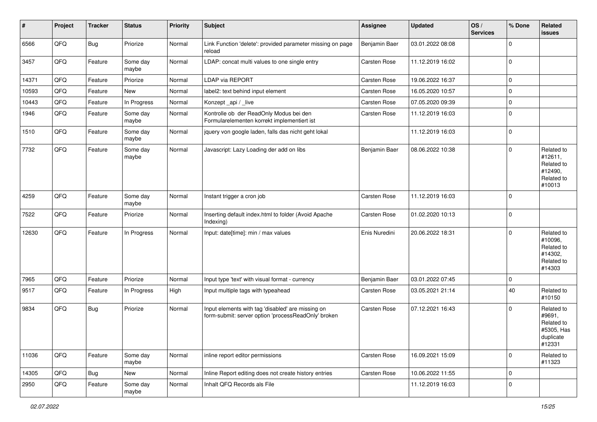| #     | Project | <b>Tracker</b> | <b>Status</b>     | <b>Priority</b> | <b>Subject</b>                                                                                           | <b>Assignee</b> | <b>Updated</b>   | OS/<br><b>Services</b> | % Done         | Related<br>issues                                                       |
|-------|---------|----------------|-------------------|-----------------|----------------------------------------------------------------------------------------------------------|-----------------|------------------|------------------------|----------------|-------------------------------------------------------------------------|
| 6566  | QFQ     | Bug            | Priorize          | Normal          | Link Function 'delete': provided parameter missing on page<br>reload                                     | Benjamin Baer   | 03.01.2022 08:08 |                        | $\Omega$       |                                                                         |
| 3457  | QFQ     | Feature        | Some day<br>maybe | Normal          | LDAP: concat multi values to one single entry                                                            | Carsten Rose    | 11.12.2019 16:02 |                        | 0              |                                                                         |
| 14371 | QFQ     | Feature        | Priorize          | Normal          | LDAP via REPORT                                                                                          | Carsten Rose    | 19.06.2022 16:37 |                        | $\mathbf{0}$   |                                                                         |
| 10593 | QFQ     | Feature        | New               | Normal          | label2: text behind input element                                                                        | Carsten Rose    | 16.05.2020 10:57 |                        | $\mathbf 0$    |                                                                         |
| 10443 | QFQ     | Feature        | In Progress       | Normal          | Konzept_api / _live                                                                                      | Carsten Rose    | 07.05.2020 09:39 |                        | $\mathbf{0}$   |                                                                         |
| 1946  | QFQ     | Feature        | Some day<br>maybe | Normal          | Kontrolle ob der ReadOnly Modus bei den<br>Formularelementen korrekt implementiert ist                   | Carsten Rose    | 11.12.2019 16:03 |                        | $\overline{0}$ |                                                                         |
| 1510  | QFQ     | Feature        | Some day<br>maybe | Normal          | jquery von google laden, falls das nicht geht lokal                                                      |                 | 11.12.2019 16:03 |                        | 0              |                                                                         |
| 7732  | QFQ     | Feature        | Some day<br>maybe | Normal          | Javascript: Lazy Loading der add on libs                                                                 | Benjamin Baer   | 08.06.2022 10:38 |                        | $\Omega$       | Related to<br>#12611,<br>Related to<br>#12490.<br>Related to<br>#10013  |
| 4259  | QFQ     | Feature        | Some day<br>maybe | Normal          | Instant trigger a cron job                                                                               | Carsten Rose    | 11.12.2019 16:03 |                        | 0              |                                                                         |
| 7522  | QFQ     | Feature        | Priorize          | Normal          | Inserting default index.html to folder (Avoid Apache<br>Indexing)                                        | Carsten Rose    | 01.02.2020 10:13 |                        | $\overline{0}$ |                                                                         |
| 12630 | QFQ     | Feature        | In Progress       | Normal          | Input: date[time]: min / max values                                                                      | Enis Nuredini   | 20.06.2022 18:31 |                        | $\Omega$       | Related to<br>#10096,<br>Related to<br>#14302,<br>Related to<br>#14303  |
| 7965  | QFQ     | Feature        | Priorize          | Normal          | Input type 'text' with visual format - currency                                                          | Benjamin Baer   | 03.01.2022 07:45 |                        | $\mathbf{0}$   |                                                                         |
| 9517  | QFQ     | Feature        | In Progress       | High            | Input multiple tags with typeahead                                                                       | Carsten Rose    | 03.05.2021 21:14 |                        | 40             | Related to<br>#10150                                                    |
| 9834  | QFQ     | Bug            | Priorize          | Normal          | Input elements with tag 'disabled' are missing on<br>form-submit: server option 'processReadOnly' broken | Carsten Rose    | 07.12.2021 16:43 |                        | $\Omega$       | Related to<br>#9691,<br>Related to<br>#5305, Has<br>duplicate<br>#12331 |
| 11036 | QFQ     | Feature        | Some day<br>maybe | Normal          | inline report editor permissions                                                                         | Carsten Rose    | 16.09.2021 15:09 |                        | $\Omega$       | Related to<br>#11323                                                    |
| 14305 | QFQ     | <b>Bug</b>     | New               | Normal          | Inline Report editing does not create history entries                                                    | Carsten Rose    | 10.06.2022 11:55 |                        | $\mathbf 0$    |                                                                         |
| 2950  | QFQ     | Feature        | Some day<br>maybe | Normal          | Inhalt QFQ Records als File                                                                              |                 | 11.12.2019 16:03 |                        | $\overline{0}$ |                                                                         |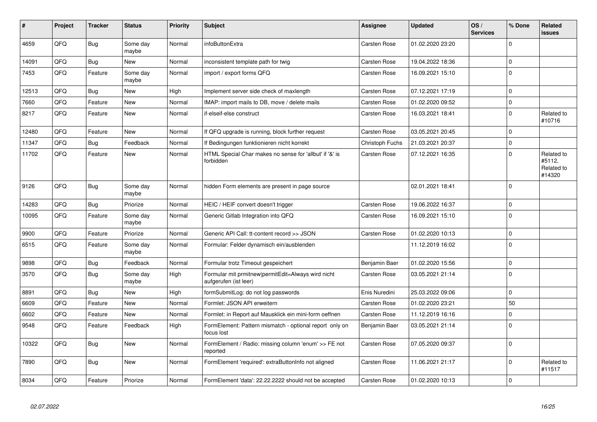| #     | Project | <b>Tracker</b> | <b>Status</b>     | <b>Priority</b> | <b>Subject</b>                                                              | <b>Assignee</b>     | <b>Updated</b>   | OS/<br><b>Services</b> | % Done       | Related<br>issues                            |
|-------|---------|----------------|-------------------|-----------------|-----------------------------------------------------------------------------|---------------------|------------------|------------------------|--------------|----------------------------------------------|
| 4659  | QFQ     | Bug            | Some day<br>maybe | Normal          | infoButtonExtra                                                             | Carsten Rose        | 01.02.2020 23:20 |                        | $\Omega$     |                                              |
| 14091 | QFQ     | <b>Bug</b>     | <b>New</b>        | Normal          | inconsistent template path for twig                                         | <b>Carsten Rose</b> | 19.04.2022 18:36 |                        | $\Omega$     |                                              |
| 7453  | QFQ     | Feature        | Some day<br>maybe | Normal          | import / export forms QFQ                                                   | Carsten Rose        | 16.09.2021 15:10 |                        | $\Omega$     |                                              |
| 12513 | QFQ     | Bug            | <b>New</b>        | High            | Implement server side check of maxlength                                    | Carsten Rose        | 07.12.2021 17:19 |                        | $\Omega$     |                                              |
| 7660  | QFQ     | Feature        | <b>New</b>        | Normal          | IMAP: import mails to DB, move / delete mails                               | Carsten Rose        | 01.02.2020 09:52 |                        | $\Omega$     |                                              |
| 8217  | QFQ     | Feature        | <b>New</b>        | Normal          | if-elseif-else construct                                                    | Carsten Rose        | 16.03.2021 18:41 |                        | $\Omega$     | Related to<br>#10716                         |
| 12480 | QFQ     | Feature        | <b>New</b>        | Normal          | If QFQ upgrade is running, block further request                            | Carsten Rose        | 03.05.2021 20:45 |                        | $\Omega$     |                                              |
| 11347 | QFQ     | Bug            | Feedback          | Normal          | If Bedingungen funktionieren nicht korrekt                                  | Christoph Fuchs     | 21.03.2021 20:37 |                        | 0            |                                              |
| 11702 | QFQ     | Feature        | <b>New</b>        | Normal          | HTML Special Char makes no sense for 'allbut' if '&' is<br>forbidden        | Carsten Rose        | 07.12.2021 16:35 |                        | $\Omega$     | Related to<br>#5112.<br>Related to<br>#14320 |
| 9126  | QFQ     | Bug            | Some day<br>maybe | Normal          | hidden Form elements are present in page source                             |                     | 02.01.2021 18:41 |                        | $\Omega$     |                                              |
| 14283 | QFQ     | Bug            | Priorize          | Normal          | HEIC / HEIF convert doesn't trigger                                         | <b>Carsten Rose</b> | 19.06.2022 16:37 |                        | 0            |                                              |
| 10095 | QFQ     | Feature        | Some day<br>maybe | Normal          | Generic Gitlab Integration into QFQ                                         | Carsten Rose        | 16.09.2021 15:10 |                        | $\Omega$     |                                              |
| 9900  | QFQ     | Feature        | Priorize          | Normal          | Generic API Call: tt-content record >> JSON                                 | <b>Carsten Rose</b> | 01.02.2020 10:13 |                        | $\Omega$     |                                              |
| 6515  | QFQ     | Feature        | Some day<br>maybe | Normal          | Formular: Felder dynamisch ein/ausblenden                                   |                     | 11.12.2019 16:02 |                        | $\Omega$     |                                              |
| 9898  | QFQ     | Bug            | Feedback          | Normal          | Formular trotz Timeout gespeichert                                          | Benjamin Baer       | 01.02.2020 15:56 |                        | $\mathbf{0}$ |                                              |
| 3570  | QFQ     | Bug            | Some day<br>maybe | High            | Formular mit prmitnew permitEdit=Always wird nicht<br>aufgerufen (ist leer) | Carsten Rose        | 03.05.2021 21:14 |                        | $\mathbf 0$  |                                              |
| 8891  | QFQ     | Bug            | <b>New</b>        | High            | formSubmitLog: do not log passwords                                         | Enis Nuredini       | 25.03.2022 09:06 |                        | $\Omega$     |                                              |
| 6609  | QFQ     | Feature        | <b>New</b>        | Normal          | Formlet: JSON API erweitern                                                 | Carsten Rose        | 01.02.2020 23:21 |                        | 50           |                                              |
| 6602  | QFQ     | Feature        | <b>New</b>        | Normal          | Formlet: in Report auf Mausklick ein mini-form oeffnen                      | Carsten Rose        | 11.12.2019 16:16 |                        | <sup>0</sup> |                                              |
| 9548  | QFQ     | Feature        | Feedback          | High            | FormElement: Pattern mismatch - optional report only on<br>focus lost       | Benjamin Baer       | 03.05.2021 21:14 |                        | $\Omega$     |                                              |
| 10322 | QFQ     | Bug            | <b>New</b>        | Normal          | FormElement / Radio: missing column 'enum' >> FE not<br>reported            | Carsten Rose        | 07.05.2020 09:37 |                        | $\Omega$     |                                              |
| 7890  | QFQ     | <b>Bug</b>     | <b>New</b>        | Normal          | FormElement 'required': extraButtonInfo not aligned                         | Carsten Rose        | 11.06.2021 21:17 |                        | $\Omega$     | Related to<br>#11517                         |
| 8034  | QFQ     | Feature        | Priorize          | Normal          | FormElement 'data': 22.22.2222 should not be accepted                       | <b>Carsten Rose</b> | 01.02.2020 10:13 |                        | $\Omega$     |                                              |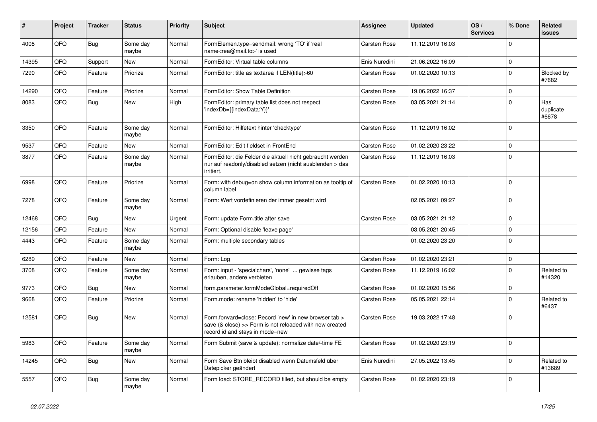| ∦     | Project | <b>Tracker</b> | <b>Status</b>     | <b>Priority</b> | <b>Subject</b>                                                                                                                                      | <b>Assignee</b>     | <b>Updated</b>   | OS/<br><b>Services</b> | % Done      | Related<br>issues          |
|-------|---------|----------------|-------------------|-----------------|-----------------------------------------------------------------------------------------------------------------------------------------------------|---------------------|------------------|------------------------|-------------|----------------------------|
| 4008  | QFQ     | <b>Bug</b>     | Some day<br>maybe | Normal          | FormElemen.type=sendmail: wrong 'TO' if 'real<br>name <rea@mail.to>' is used</rea@mail.to>                                                          | Carsten Rose        | 11.12.2019 16:03 |                        | $\Omega$    |                            |
| 14395 | QFQ     | Support        | <b>New</b>        | Normal          | FormEditor: Virtual table columns                                                                                                                   | Enis Nuredini       | 21.06.2022 16:09 |                        | $\mathbf 0$ |                            |
| 7290  | QFQ     | Feature        | Priorize          | Normal          | FormEditor: title as textarea if LEN(title)>60                                                                                                      | Carsten Rose        | 01.02.2020 10:13 |                        | $\Omega$    | <b>Blocked by</b><br>#7682 |
| 14290 | QFQ     | Feature        | Priorize          | Normal          | FormEditor: Show Table Definition                                                                                                                   | <b>Carsten Rose</b> | 19.06.2022 16:37 |                        | $\Omega$    |                            |
| 8083  | QFQ     | Bug            | <b>New</b>        | High            | FormEditor: primary table list does not respect<br>'indexDb={{indexData:Y}}'                                                                        | Carsten Rose        | 03.05.2021 21:14 |                        | $\Omega$    | Has<br>duplicate<br>#6678  |
| 3350  | QFQ     | Feature        | Some day<br>maybe | Normal          | FormEditor: Hilfetext hinter 'checktype'                                                                                                            | Carsten Rose        | 11.12.2019 16:02 |                        | $\Omega$    |                            |
| 9537  | QFQ     | Feature        | <b>New</b>        | Normal          | FormEditor: Edit fieldset in FrontEnd                                                                                                               | <b>Carsten Rose</b> | 01.02.2020 23:22 |                        | $\Omega$    |                            |
| 3877  | QFQ     | Feature        | Some day<br>maybe | Normal          | FormEditor: die Felder die aktuell nicht gebraucht werden<br>nur auf readonly/disabled setzen (nicht ausblenden > das<br>irritiert.                 | Carsten Rose        | 11.12.2019 16:03 |                        | $\Omega$    |                            |
| 6998  | QFQ     | Feature        | Priorize          | Normal          | Form: with debug=on show column information as tooltip of<br>column label                                                                           | Carsten Rose        | 01.02.2020 10:13 |                        | $\Omega$    |                            |
| 7278  | QFQ     | Feature        | Some day<br>maybe | Normal          | Form: Wert vordefinieren der immer gesetzt wird                                                                                                     |                     | 02.05.2021 09:27 |                        | $\Omega$    |                            |
| 12468 | QFQ     | <b>Bug</b>     | <b>New</b>        | Urgent          | Form: update Form.title after save                                                                                                                  | <b>Carsten Rose</b> | 03.05.2021 21:12 |                        | $\Omega$    |                            |
| 12156 | QFQ     | Feature        | <b>New</b>        | Normal          | Form: Optional disable 'leave page'                                                                                                                 |                     | 03.05.2021 20:45 |                        | $\Omega$    |                            |
| 4443  | QFQ     | Feature        | Some day<br>maybe | Normal          | Form: multiple secondary tables                                                                                                                     |                     | 01.02.2020 23:20 |                        | $\Omega$    |                            |
| 6289  | QFQ     | Feature        | <b>New</b>        | Normal          | Form: Log                                                                                                                                           | Carsten Rose        | 01.02.2020 23:21 |                        | $\mathbf 0$ |                            |
| 3708  | QFQ     | Feature        | Some day<br>maybe | Normal          | Form: input - 'specialchars', 'none'  gewisse tags<br>erlauben, andere verbieten                                                                    | Carsten Rose        | 11.12.2019 16:02 |                        | $\mathbf 0$ | Related to<br>#14320       |
| 9773  | QFQ     | Bug            | <b>New</b>        | Normal          | form.parameter.formModeGlobal=requiredOff                                                                                                           | Carsten Rose        | 01.02.2020 15:56 |                        | 0           |                            |
| 9668  | QFQ     | Feature        | Priorize          | Normal          | Form.mode: rename 'hidden' to 'hide'                                                                                                                | Carsten Rose        | 05.05.2021 22:14 |                        | $\Omega$    | Related to<br>#6437        |
| 12581 | QFQ     | Bug            | <b>New</b>        | Normal          | Form.forward=close: Record 'new' in new browser tab ><br>save (& close) >> Form is not reloaded with new created<br>record id and stays in mode=new | Carsten Rose        | 19.03.2022 17:48 |                        | $\Omega$    |                            |
| 5983  | QFQ     | Feature        | Some day<br>maybe | Normal          | Form Submit (save & update): normalize date/-time FE                                                                                                | Carsten Rose        | 01.02.2020 23:19 |                        | $\Omega$    |                            |
| 14245 | QFQ     | Bug            | <b>New</b>        | Normal          | Form Save Btn bleibt disabled wenn Datumsfeld über<br>Datepicker geändert                                                                           | Enis Nuredini       | 27.05.2022 13:45 |                        | $\Omega$    | Related to<br>#13689       |
| 5557  | QFQ     | Bug            | Some day<br>maybe | Normal          | Form load: STORE RECORD filled, but should be empty                                                                                                 | <b>Carsten Rose</b> | 01.02.2020 23:19 |                        | $\Omega$    |                            |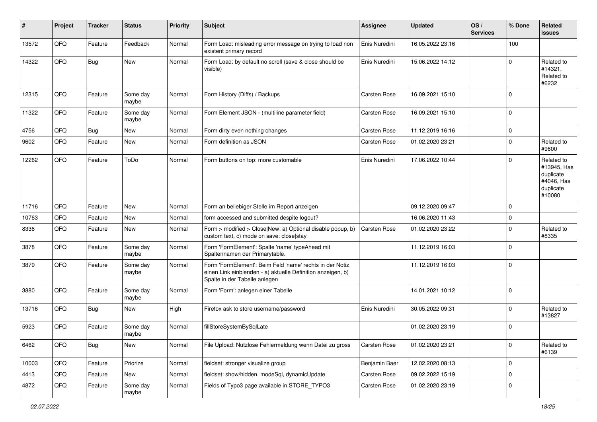| #     | Project | <b>Tracker</b> | <b>Status</b>     | <b>Priority</b> | <b>Subject</b>                                                                                                                                           | <b>Assignee</b>     | <b>Updated</b>   | OS/<br><b>Services</b> | % Done         | Related<br><b>issues</b>                                                    |
|-------|---------|----------------|-------------------|-----------------|----------------------------------------------------------------------------------------------------------------------------------------------------------|---------------------|------------------|------------------------|----------------|-----------------------------------------------------------------------------|
| 13572 | QFQ     | Feature        | Feedback          | Normal          | Form Load: misleading error message on trying to load non<br>existent primary record                                                                     | Enis Nuredini       | 16.05.2022 23:16 |                        | 100            |                                                                             |
| 14322 | QFQ     | Bug            | <b>New</b>        | Normal          | Form Load: by default no scroll (save & close should be<br>visible)                                                                                      | Enis Nuredini       | 15.06.2022 14:12 |                        | $\mathbf 0$    | Related to<br>#14321,<br>Related to<br>#6232                                |
| 12315 | QFQ     | Feature        | Some day<br>maybe | Normal          | Form History (Diffs) / Backups                                                                                                                           | <b>Carsten Rose</b> | 16.09.2021 15:10 |                        | $\mathbf 0$    |                                                                             |
| 11322 | QFQ     | Feature        | Some day<br>maybe | Normal          | Form Element JSON - (multiline parameter field)                                                                                                          | Carsten Rose        | 16.09.2021 15:10 |                        | $\overline{0}$ |                                                                             |
| 4756  | QFQ     | <b>Bug</b>     | New               | Normal          | Form dirty even nothing changes                                                                                                                          | <b>Carsten Rose</b> | 11.12.2019 16:16 |                        | $\mathbf 0$    |                                                                             |
| 9602  | QFQ     | Feature        | <b>New</b>        | Normal          | Form definition as JSON                                                                                                                                  | Carsten Rose        | 01.02.2020 23:21 |                        | $\Omega$       | Related to<br>#9600                                                         |
| 12262 | QFQ     | Feature        | ToDo              | Normal          | Form buttons on top: more customable                                                                                                                     | Enis Nuredini       | 17.06.2022 10:44 |                        | $\overline{0}$ | Related to<br>#13945, Has<br>duplicate<br>#4046, Has<br>duplicate<br>#10080 |
| 11716 | QFQ     | Feature        | <b>New</b>        | Normal          | Form an beliebiger Stelle im Report anzeigen                                                                                                             |                     | 09.12.2020 09:47 |                        | $\overline{0}$ |                                                                             |
| 10763 | QFQ     | Feature        | New               | Normal          | form accessed and submitted despite logout?                                                                                                              |                     | 16.06.2020 11:43 |                        | $\pmb{0}$      |                                                                             |
| 8336  | QFQ     | Feature        | New               | Normal          | Form > modified > Close New: a) Optional disable popup, b)<br>custom text, c) mode on save: close stay                                                   | <b>Carsten Rose</b> | 01.02.2020 23:22 |                        | $\mathbf 0$    | Related to<br>#8335                                                         |
| 3878  | QFQ     | Feature        | Some day<br>maybe | Normal          | Form 'FormElement': Spalte 'name' typeAhead mit<br>Spaltennamen der Primarytable.                                                                        |                     | 11.12.2019 16:03 |                        | $\overline{0}$ |                                                                             |
| 3879  | QFQ     | Feature        | Some day<br>maybe | Normal          | Form 'FormElement': Beim Feld 'name' rechts in der Notiz<br>einen Link einblenden - a) aktuelle Definition anzeigen, b)<br>Spalte in der Tabelle anlegen |                     | 11.12.2019 16:03 |                        | $\overline{0}$ |                                                                             |
| 3880  | QFQ     | Feature        | Some day<br>maybe | Normal          | Form 'Form': anlegen einer Tabelle                                                                                                                       |                     | 14.01.2021 10:12 |                        | $\mathbf 0$    |                                                                             |
| 13716 | QFQ     | <b>Bug</b>     | New               | High            | Firefox ask to store username/password                                                                                                                   | Enis Nuredini       | 30.05.2022 09:31 |                        | $\mathbf 0$    | Related to<br>#13827                                                        |
| 5923  | QFQ     | Feature        | Some day<br>maybe | Normal          | fillStoreSystemBySqlLate                                                                                                                                 |                     | 01.02.2020 23:19 |                        | $\mathbf 0$    |                                                                             |
| 6462  | QFO     | <b>Bug</b>     | New               | Normal          | File Upload: Nutzlose Fehlermeldung wenn Datei zu gross                                                                                                  | Carsten Rose        | 01.02.2020 23:21 |                        | $\mathbf 0$    | Related to<br>#6139                                                         |
| 10003 | QFO     | Feature        | Priorize          | Normal          | fieldset: stronger visualize group                                                                                                                       | Benjamin Baer       | 12.02.2020 08:13 |                        | $\mathbf 0$    |                                                                             |
| 4413  | QFQ     | Feature        | New               | Normal          | fieldset: show/hidden, modeSql, dynamicUpdate                                                                                                            | Carsten Rose        | 09.02.2022 15:19 |                        | $\overline{0}$ |                                                                             |
| 4872  | QFQ     | Feature        | Some day<br>maybe | Normal          | Fields of Typo3 page available in STORE_TYPO3                                                                                                            | Carsten Rose        | 01.02.2020 23:19 |                        | $\overline{0}$ |                                                                             |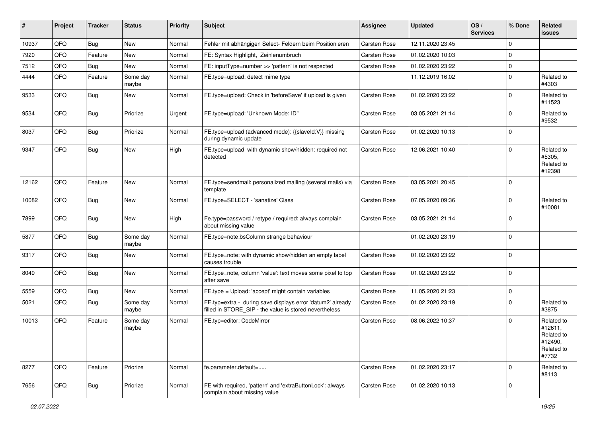| ∦     | Project | <b>Tracker</b> | <b>Status</b>     | <b>Priority</b> | Subject                                                                                                              | <b>Assignee</b>     | <b>Updated</b>   | OS/<br><b>Services</b> | % Done         | Related<br><b>issues</b>                                              |
|-------|---------|----------------|-------------------|-----------------|----------------------------------------------------------------------------------------------------------------------|---------------------|------------------|------------------------|----------------|-----------------------------------------------------------------------|
| 10937 | QFQ     | <b>Bug</b>     | <b>New</b>        | Normal          | Fehler mit abhängigen Select- Feldern beim Positionieren                                                             | Carsten Rose        | 12.11.2020 23:45 |                        | $\mathbf 0$    |                                                                       |
| 7920  | QFQ     | Feature        | <b>New</b>        | Normal          | FE: Syntax Highlight, Zeinlenumbruch                                                                                 | Carsten Rose        | 01.02.2020 10:03 |                        | $\overline{0}$ |                                                                       |
| 7512  | QFQ     | Bug            | <b>New</b>        | Normal          | FE: inputType=number >> 'pattern' is not respected                                                                   | Carsten Rose        | 01.02.2020 23:22 |                        | $\mathbf 0$    |                                                                       |
| 4444  | QFQ     | Feature        | Some day<br>maybe | Normal          | FE.type=upload: detect mime type                                                                                     |                     | 11.12.2019 16:02 |                        | $\mathbf 0$    | Related to<br>#4303                                                   |
| 9533  | QFQ     | Bug            | New               | Normal          | FE.type=upload: Check in 'beforeSave' if upload is given                                                             | Carsten Rose        | 01.02.2020 23:22 |                        | $\mathbf 0$    | Related to<br>#11523                                                  |
| 9534  | QFQ     | <b>Bug</b>     | Priorize          | Urgent          | FE.type=upload: 'Unknown Mode: ID"                                                                                   | Carsten Rose        | 03.05.2021 21:14 |                        | $\mathbf 0$    | Related to<br>#9532                                                   |
| 8037  | QFQ     | Bug            | Priorize          | Normal          | FE.type=upload (advanced mode): {{slaveld:V}} missing<br>during dynamic update                                       | <b>Carsten Rose</b> | 01.02.2020 10:13 |                        | $\overline{0}$ |                                                                       |
| 9347  | QFQ     | <b>Bug</b>     | <b>New</b>        | High            | FE.type=upload with dynamic show/hidden: required not<br>detected                                                    | Carsten Rose        | 12.06.2021 10:40 |                        | $\mathbf 0$    | Related to<br>#5305,<br>Related to<br>#12398                          |
| 12162 | QFQ     | Feature        | <b>New</b>        | Normal          | FE.type=sendmail: personalized mailing (several mails) via<br>template                                               | <b>Carsten Rose</b> | 03.05.2021 20:45 |                        | $\overline{0}$ |                                                                       |
| 10082 | QFQ     | <b>Bug</b>     | New               | Normal          | FE.type=SELECT - 'sanatize' Class                                                                                    | Carsten Rose        | 07.05.2020 09:36 |                        | $\mathbf 0$    | Related to<br>#10081                                                  |
| 7899  | QFQ     | Bug            | New               | High            | Fe.type=password / retype / required: always complain<br>about missing value                                         | Carsten Rose        | 03.05.2021 21:14 |                        | $\overline{0}$ |                                                                       |
| 5877  | QFQ     | <b>Bug</b>     | Some day<br>maybe | Normal          | FE.type=note:bsColumn strange behaviour                                                                              |                     | 01.02.2020 23:19 |                        | $\mathbf 0$    |                                                                       |
| 9317  | QFQ     | <b>Bug</b>     | <b>New</b>        | Normal          | FE.type=note: with dynamic show/hidden an empty label<br>causes trouble                                              | Carsten Rose        | 01.02.2020 23:22 |                        | $\overline{0}$ |                                                                       |
| 8049  | QFQ     | <b>Bug</b>     | <b>New</b>        | Normal          | FE.type=note, column 'value': text moves some pixel to top<br>after save                                             | Carsten Rose        | 01.02.2020 23:22 |                        | $\mathbf 0$    |                                                                       |
| 5559  | QFQ     | Bug            | <b>New</b>        | Normal          | FE.type = Upload: 'accept' might contain variables                                                                   | <b>Carsten Rose</b> | 11.05.2020 21:23 |                        | $\mathbf 0$    |                                                                       |
| 5021  | QFQ     | Bug            | Some day<br>maybe | Normal          | FE.typ=extra - during save displays error 'datum2' already<br>filled in STORE SIP - the value is stored nevertheless | Carsten Rose        | 01.02.2020 23:19 |                        | $\mathbf 0$    | Related to<br>#3875                                                   |
| 10013 | QFQ     | Feature        | Some day<br>maybe | Normal          | FE.typ=editor: CodeMirror                                                                                            | Carsten Rose        | 08.06.2022 10:37 |                        | $\overline{0}$ | Related to<br>#12611,<br>Related to<br>#12490,<br>Related to<br>#7732 |
| 8277  | QFQ     | Feature        | Priorize          | Normal          | fe.parameter.default=                                                                                                | Carsten Rose        | 01.02.2020 23:17 |                        | $\overline{0}$ | Related to<br>#8113                                                   |
| 7656  | QFQ     | Bug            | Priorize          | Normal          | FE with required, 'pattern' and 'extraButtonLock': always<br>complain about missing value                            | Carsten Rose        | 01.02.2020 10:13 |                        | $\mathbf 0$    |                                                                       |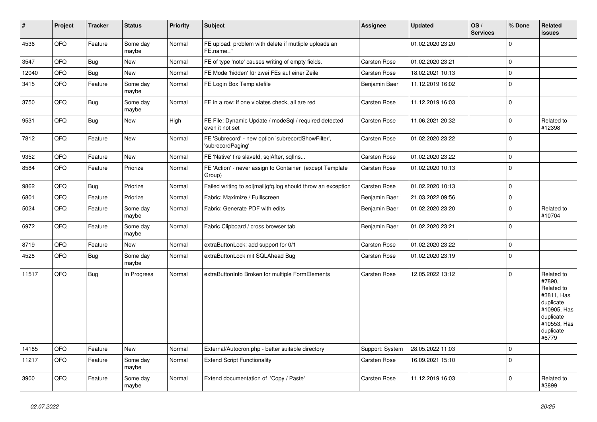| $\sharp$ | Project | <b>Tracker</b> | <b>Status</b>     | <b>Priority</b> | <b>Subject</b>                                                           | <b>Assignee</b>     | <b>Updated</b>   | OS/<br><b>Services</b> | % Done      | Related<br>issues                                                                                                              |
|----------|---------|----------------|-------------------|-----------------|--------------------------------------------------------------------------|---------------------|------------------|------------------------|-------------|--------------------------------------------------------------------------------------------------------------------------------|
| 4536     | QFQ     | Feature        | Some day<br>maybe | Normal          | FE upload: problem with delete if mutliple uploads an<br>FE.name="       |                     | 01.02.2020 23:20 |                        | $\Omega$    |                                                                                                                                |
| 3547     | QFQ     | Bug            | <b>New</b>        | Normal          | FE of type 'note' causes writing of empty fields.                        | <b>Carsten Rose</b> | 01.02.2020 23:21 |                        | $\Omega$    |                                                                                                                                |
| 12040    | QFQ     | <b>Bug</b>     | <b>New</b>        | Normal          | FE Mode 'hidden' für zwei FEs auf einer Zeile                            | Carsten Rose        | 18.02.2021 10:13 |                        | $\Omega$    |                                                                                                                                |
| 3415     | QFQ     | Feature        | Some day<br>maybe | Normal          | FE Login Box Templatefile                                                | Benjamin Baer       | 11.12.2019 16:02 |                        | $\Omega$    |                                                                                                                                |
| 3750     | QFQ     | Bug            | Some day<br>maybe | Normal          | FE in a row: if one violates check, all are red                          | Carsten Rose        | 11.12.2019 16:03 |                        | $\mathbf 0$ |                                                                                                                                |
| 9531     | QFQ     | <b>Bug</b>     | New               | High            | FE File: Dynamic Update / modeSql / required detected<br>even it not set | Carsten Rose        | 11.06.2021 20:32 |                        | $\Omega$    | Related to<br>#12398                                                                                                           |
| 7812     | QFQ     | Feature        | <b>New</b>        | Normal          | FE 'Subrecord' - new option 'subrecordShowFilter',<br>'subrecordPaging'  | Carsten Rose        | 01.02.2020 23:22 |                        | 0           |                                                                                                                                |
| 9352     | QFQ     | Feature        | <b>New</b>        | Normal          | FE 'Native' fire slaveld, sqlAfter, sqllns                               | Carsten Rose        | 01.02.2020 23:22 |                        | $\Omega$    |                                                                                                                                |
| 8584     | QFQ     | Feature        | Priorize          | Normal          | FE 'Action' - never assign to Container (except Template<br>Group)       | Carsten Rose        | 01.02.2020 10:13 |                        | $\Omega$    |                                                                                                                                |
| 9862     | QFQ     | <b>Bug</b>     | Priorize          | Normal          | Failed writing to sql mail qfq.log should throw an exception             | <b>Carsten Rose</b> | 01.02.2020 10:13 |                        | $\Omega$    |                                                                                                                                |
| 6801     | QFQ     | Feature        | Priorize          | Normal          | Fabric: Maximize / Fulllscreen                                           | Benjamin Baer       | 21.03.2022 09:56 |                        | $\mathbf 0$ |                                                                                                                                |
| 5024     | QFQ     | Feature        | Some day<br>maybe | Normal          | Fabric: Generate PDF with edits                                          | Benjamin Baer       | 01.02.2020 23:20 |                        | $\Omega$    | Related to<br>#10704                                                                                                           |
| 6972     | QFQ     | Feature        | Some day<br>maybe | Normal          | Fabric Clipboard / cross browser tab                                     | Benjamin Baer       | 01.02.2020 23:21 |                        | $\Omega$    |                                                                                                                                |
| 8719     | QFQ     | Feature        | <b>New</b>        | Normal          | extraButtonLock: add support for 0/1                                     | Carsten Rose        | 01.02.2020 23:22 |                        | $\Omega$    |                                                                                                                                |
| 4528     | QFQ     | Bug            | Some day<br>maybe | Normal          | extraButtonLock mit SQLAhead Bug                                         | Carsten Rose        | 01.02.2020 23:19 |                        | $\Omega$    |                                                                                                                                |
| 11517    | QFQ     | <b>Bug</b>     | In Progress       | Normal          | extraButtonInfo Broken for multiple FormElements                         | Carsten Rose        | 12.05.2022 13:12 |                        | $\mathbf 0$ | Related to<br>#7890,<br>Related to<br>#3811, Has<br>duplicate<br>#10905, Has<br>duplicate<br>#10553, Has<br>duplicate<br>#6779 |
| 14185    | QFQ     | Feature        | <b>New</b>        | Normal          | External/Autocron.php - better suitable directory                        | Support: System     | 28.05.2022 11:03 |                        | $\Omega$    |                                                                                                                                |
| 11217    | QFQ     | Feature        | Some day<br>maybe | Normal          | <b>Extend Script Functionality</b>                                       | <b>Carsten Rose</b> | 16.09.2021 15:10 |                        | $\Omega$    |                                                                                                                                |
| 3900     | QFQ     | Feature        | Some day<br>maybe | Normal          | Extend documentation of 'Copy / Paste'                                   | Carsten Rose        | 11.12.2019 16:03 |                        | $\Omega$    | Related to<br>#3899                                                                                                            |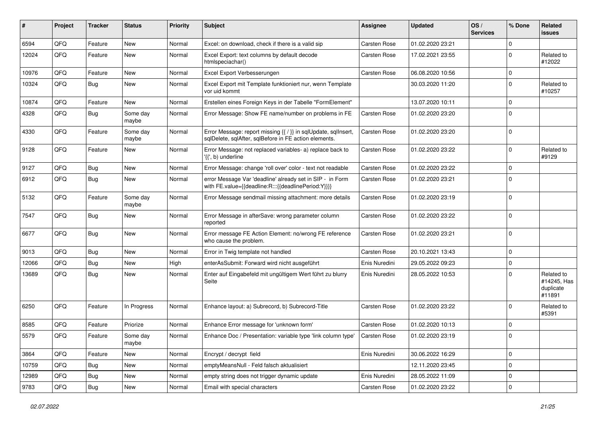| #     | Project | <b>Tracker</b> | <b>Status</b>     | <b>Priority</b> | <b>Subject</b>                                                                                                          | <b>Assignee</b>     | <b>Updated</b>   | OS/<br><b>Services</b> | % Done      | Related<br>issues                                |
|-------|---------|----------------|-------------------|-----------------|-------------------------------------------------------------------------------------------------------------------------|---------------------|------------------|------------------------|-------------|--------------------------------------------------|
| 6594  | QFQ     | Feature        | New               | Normal          | Excel: on download, check if there is a valid sip                                                                       | <b>Carsten Rose</b> | 01.02.2020 23:21 |                        | 0           |                                                  |
| 12024 | QFQ     | Feature        | New               | Normal          | Excel Export: text columns by default decode<br>htmlspeciachar()                                                        | Carsten Rose        | 17.02.2021 23:55 |                        | 0           | Related to<br>#12022                             |
| 10976 | QFQ     | Feature        | <b>New</b>        | Normal          | Excel Export Verbesserungen                                                                                             | Carsten Rose        | 06.08.2020 10:56 |                        | 0           |                                                  |
| 10324 | QFQ     | Bug            | New               | Normal          | Excel Export mit Template funktioniert nur, wenn Template<br>vor uid kommt                                              |                     | 30.03.2020 11:20 |                        | 0           | Related to<br>#10257                             |
| 10874 | QFQ     | Feature        | <b>New</b>        | Normal          | Erstellen eines Foreign Keys in der Tabelle "FormElement"                                                               |                     | 13.07.2020 10:11 |                        | $\Omega$    |                                                  |
| 4328  | QFQ     | <b>Bug</b>     | Some day<br>maybe | Normal          | Error Message: Show FE name/number on problems in FE                                                                    | Carsten Rose        | 01.02.2020 23:20 |                        | $\Omega$    |                                                  |
| 4330  | QFQ     | Feature        | Some day<br>maybe | Normal          | Error Message: report missing {{ / }} in sqlUpdate, sqlInsert,<br>sqlDelete, sqlAfter, sqlBefore in FE action elements. | Carsten Rose        | 01.02.2020 23:20 |                        | 0           |                                                  |
| 9128  | QFQ     | Feature        | <b>New</b>        | Normal          | Error Message: not replaced variables- a) replace back to<br>'{{', b) underline                                         | Carsten Rose        | 01.02.2020 23:22 |                        | $\Omega$    | Related to<br>#9129                              |
| 9127  | QFQ     | <b>Bug</b>     | <b>New</b>        | Normal          | Error Message: change 'roll over' color - text not readable                                                             | Carsten Rose        | 01.02.2020 23:22 |                        | $\Omega$    |                                                  |
| 6912  | QFQ     | Bug            | New               | Normal          | error Message Var 'deadline' already set in SIP - in Form<br>with FE.value={{deadline:R:::{{deadlinePeriod:Y}}}}        | Carsten Rose        | 01.02.2020 23:21 |                        | $\Omega$    |                                                  |
| 5132  | QFQ     | Feature        | Some day<br>maybe | Normal          | Error Message sendmail missing attachment: more details                                                                 | Carsten Rose        | 01.02.2020 23:19 |                        | $\Omega$    |                                                  |
| 7547  | QFQ     | Bug            | New               | Normal          | Error Message in afterSave: wrong parameter column<br>reported                                                          | Carsten Rose        | 01.02.2020 23:22 |                        | $\Omega$    |                                                  |
| 6677  | QFQ     | Bug            | <b>New</b>        | Normal          | Error message FE Action Element: no/wrong FE reference<br>who cause the problem.                                        | Carsten Rose        | 01.02.2020 23:21 |                        | $\Omega$    |                                                  |
| 9013  | QFQ     | Bug            | <b>New</b>        | Normal          | Error in Twig template not handled                                                                                      | Carsten Rose        | 20.10.2021 13:43 |                        | 0           |                                                  |
| 12066 | QFQ     | <b>Bug</b>     | New               | High            | enterAsSubmit: Forward wird nicht ausgeführt                                                                            | Enis Nuredini       | 29.05.2022 09:23 |                        | 0           |                                                  |
| 13689 | QFQ     | <b>Bug</b>     | New               | Normal          | Enter auf Eingabefeld mit ungültigem Wert führt zu blurry<br>Seite                                                      | Enis Nuredini       | 28.05.2022 10:53 |                        | O           | Related to<br>#14245, Has<br>duplicate<br>#11891 |
| 6250  | QFQ     | Feature        | In Progress       | Normal          | Enhance layout: a) Subrecord, b) Subrecord-Title                                                                        | Carsten Rose        | 01.02.2020 23:22 |                        | $\Omega$    | Related to<br>#5391                              |
| 8585  | QFQ     | Feature        | Priorize          | Normal          | Enhance Error message for 'unknown form'                                                                                | Carsten Rose        | 01.02.2020 10:13 |                        | 0           |                                                  |
| 5579  | QFQ     | Feature        | Some day<br>maybe | Normal          | Enhance Doc / Presentation: variable type 'link column type'                                                            | Carsten Rose        | 01.02.2020 23:19 |                        | $\Omega$    |                                                  |
| 3864  | QFQ     | Feature        | New               | Normal          | Encrypt / decrypt field                                                                                                 | Enis Nuredini       | 30.06.2022 16:29 |                        | 0           |                                                  |
| 10759 | QFQ     | <b>Bug</b>     | New               | Normal          | emptyMeansNull - Feld falsch aktualisiert                                                                               |                     | 12.11.2020 23:45 |                        | 0           |                                                  |
| 12989 | QFQ     | Bug            | New               | Normal          | empty string does not trigger dynamic update                                                                            | Enis Nuredini       | 28.05.2022 11:09 |                        | 0           |                                                  |
| 9783  | QFQ     | Bug            | New               | Normal          | Email with special characters                                                                                           | Carsten Rose        | 01.02.2020 23:22 |                        | $\mathbf 0$ |                                                  |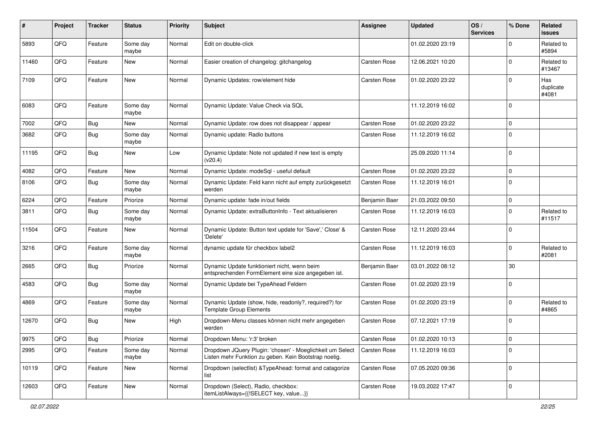| #     | Project | <b>Tracker</b> | <b>Status</b>     | <b>Priority</b> | <b>Subject</b>                                                                                                     | <b>Assignee</b>     | <b>Updated</b>   | OS/<br><b>Services</b> | % Done         | Related<br><b>issues</b>  |
|-------|---------|----------------|-------------------|-----------------|--------------------------------------------------------------------------------------------------------------------|---------------------|------------------|------------------------|----------------|---------------------------|
| 5893  | QFQ     | Feature        | Some day<br>maybe | Normal          | Edit on double-click                                                                                               |                     | 01.02.2020 23:19 |                        | $\Omega$       | Related to<br>#5894       |
| 11460 | QFQ     | Feature        | New               | Normal          | Easier creation of changelog: gitchangelog                                                                         | <b>Carsten Rose</b> | 12.06.2021 10:20 |                        | $\mathbf 0$    | Related to<br>#13467      |
| 7109  | QFQ     | Feature        | <b>New</b>        | Normal          | Dynamic Updates: row/element hide                                                                                  | Carsten Rose        | 01.02.2020 23:22 |                        | $\Omega$       | Has<br>duplicate<br>#4081 |
| 6083  | QFQ     | Feature        | Some day<br>maybe | Normal          | Dynamic Update: Value Check via SQL                                                                                |                     | 11.12.2019 16:02 |                        | $\Omega$       |                           |
| 7002  | QFQ     | Bug            | <b>New</b>        | Normal          | Dynamic Update: row does not disappear / appear                                                                    | <b>Carsten Rose</b> | 01.02.2020 23:22 |                        | $\mathbf 0$    |                           |
| 3682  | QFQ     | Bug            | Some day<br>maybe | Normal          | Dynamic update: Radio buttons                                                                                      | Carsten Rose        | 11.12.2019 16:02 |                        | $\Omega$       |                           |
| 11195 | QFQ     | Bug            | <b>New</b>        | Low             | Dynamic Update: Note not updated if new text is empty<br>(v20.4)                                                   |                     | 25.09.2020 11:14 |                        | $\Omega$       |                           |
| 4082  | QFQ     | Feature        | <b>New</b>        | Normal          | Dynamic Update: modeSql - useful default                                                                           | <b>Carsten Rose</b> | 01.02.2020 23:22 |                        | $\Omega$       |                           |
| 8106  | QFQ     | <b>Bug</b>     | Some day<br>maybe | Normal          | Dynamic Update: Feld kann nicht auf empty zurückgesetzt<br>werden                                                  | Carsten Rose        | 11.12.2019 16:01 |                        | $\Omega$       |                           |
| 6224  | QFQ     | Feature        | Priorize          | Normal          | Dynamic update: fade in/out fields                                                                                 | Benjamin Baer       | 21.03.2022 09:50 |                        | $\mathbf 0$    |                           |
| 3811  | QFQ     | Bug            | Some day<br>maybe | Normal          | Dynamic Update: extraButtonInfo - Text aktualisieren                                                               | Carsten Rose        | 11.12.2019 16:03 |                        | $\Omega$       | Related to<br>#11517      |
| 11504 | QFQ     | Feature        | New               | Normal          | Dynamic Update: Button text update for 'Save',' Close' &<br>'Delete'                                               | <b>Carsten Rose</b> | 12.11.2020 23:44 |                        | $\Omega$       |                           |
| 3216  | QFQ     | Feature        | Some day<br>maybe | Normal          | dynamic update für checkbox label2                                                                                 | Carsten Rose        | 11.12.2019 16:03 |                        | $\mathbf 0$    | Related to<br>#2081       |
| 2665  | QFQ     | Bug            | Priorize          | Normal          | Dynamic Update funktioniert nicht, wenn beim<br>entsprechenden FormElement eine size angegeben ist.                | Benjamin Baer       | 03.01.2022 08:12 |                        | 30             |                           |
| 4583  | QFQ     | Bug            | Some day<br>maybe | Normal          | Dynamic Update bei TypeAhead Feldern                                                                               | Carsten Rose        | 01.02.2020 23:19 |                        | $\Omega$       |                           |
| 4869  | QFQ     | Feature        | Some day<br>maybe | Normal          | Dynamic Update (show, hide, readonly?, required?) for<br><b>Template Group Elements</b>                            | Carsten Rose        | 01.02.2020 23:19 |                        | $\Omega$       | Related to<br>#4865       |
| 12670 | QFQ     | Bug            | <b>New</b>        | High            | Dropdown-Menu classes können nicht mehr angegeben<br>werden                                                        | Carsten Rose        | 07.12.2021 17:19 |                        | $\Omega$       |                           |
| 9975  | QFG     | <b>Bug</b>     | Priorize          | Normal          | Dropdown Menu: 'r:3' broken                                                                                        | Carsten Rose        | 01.02.2020 10:13 |                        | ΙU             |                           |
| 2995  | QFQ     | Feature        | Some day<br>maybe | Normal          | Dropdown JQuery Plugin: 'chosen' - Moeglichkeit um Select<br>Listen mehr Funktion zu geben. Kein Bootstrap noetig. | Carsten Rose        | 11.12.2019 16:03 |                        | 0              |                           |
| 10119 | QFQ     | Feature        | New               | Normal          | Dropdown (selectlist) & TypeAhead: format and catagorize<br>list                                                   | Carsten Rose        | 07.05.2020 09:36 |                        | 0              |                           |
| 12603 | QFQ     | Feature        | New               | Normal          | Dropdown (Select), Radio, checkbox:<br>itemListAlways={{!SELECT key, value}}                                       | Carsten Rose        | 19.03.2022 17:47 |                        | $\overline{0}$ |                           |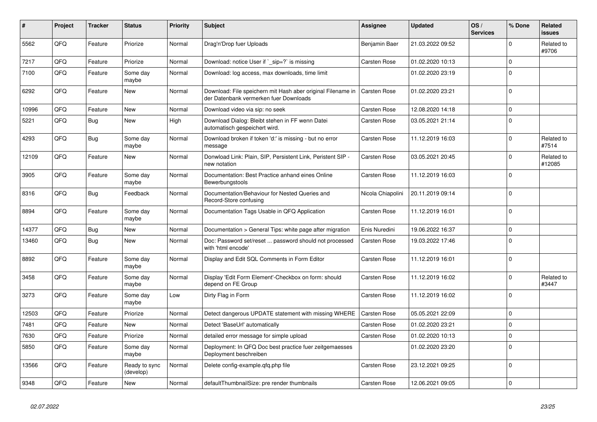| $\vert$ # | Project | <b>Tracker</b> | <b>Status</b>              | <b>Priority</b> | <b>Subject</b>                                                                                        | Assignee            | <b>Updated</b>   | OS/<br><b>Services</b> | % Done   | Related<br>issues    |
|-----------|---------|----------------|----------------------------|-----------------|-------------------------------------------------------------------------------------------------------|---------------------|------------------|------------------------|----------|----------------------|
| 5562      | QFQ     | Feature        | Priorize                   | Normal          | Drag'n'Drop fuer Uploads                                                                              | Benjamin Baer       | 21.03.2022 09:52 |                        | $\Omega$ | Related to<br>#9706  |
| 7217      | QFQ     | Feature        | Priorize                   | Normal          | Download: notice User if `_sip=?` is missing                                                          | Carsten Rose        | 01.02.2020 10:13 |                        | $\Omega$ |                      |
| 7100      | QFQ     | Feature        | Some day<br>maybe          | Normal          | Download: log access, max downloads, time limit                                                       |                     | 01.02.2020 23:19 |                        | $\Omega$ |                      |
| 6292      | QFQ     | Feature        | New                        | Normal          | Download: File speichern mit Hash aber original Filename in<br>der Datenbank vermerken fuer Downloads | <b>Carsten Rose</b> | 01.02.2020 23:21 |                        | 0        |                      |
| 10996     | QFQ     | Feature        | New                        | Normal          | Download video via sip: no seek                                                                       | Carsten Rose        | 12.08.2020 14:18 |                        | 0        |                      |
| 5221      | QFQ     | Bug            | New                        | High            | Download Dialog: Bleibt stehen in FF wenn Datei<br>automatisch gespeichert wird.                      | Carsten Rose        | 03.05.2021 21:14 |                        | $\Omega$ |                      |
| 4293      | QFQ     | Bug            | Some day<br>maybe          | Normal          | Download broken if token 'd:' is missing - but no error<br>message                                    | Carsten Rose        | 11.12.2019 16:03 |                        | $\Omega$ | Related to<br>#7514  |
| 12109     | QFQ     | Feature        | New                        | Normal          | Donwload Link: Plain, SIP, Persistent Link, Peristent SIP -<br>new notation                           | Carsten Rose        | 03.05.2021 20:45 |                        | 0        | Related to<br>#12085 |
| 3905      | QFQ     | Feature        | Some day<br>maybe          | Normal          | Documentation: Best Practice anhand eines Online<br>Bewerbungstools                                   | Carsten Rose        | 11.12.2019 16:03 |                        | 0        |                      |
| 8316      | QFQ     | <b>Bug</b>     | Feedback                   | Normal          | Documentation/Behaviour for Nested Queries and<br>Record-Store confusing                              | Nicola Chiapolini   | 20.11.2019 09:14 |                        | $\Omega$ |                      |
| 8894      | QFQ     | Feature        | Some day<br>maybe          | Normal          | Documentation Tags Usable in QFQ Application                                                          | Carsten Rose        | 11.12.2019 16:01 |                        | $\Omega$ |                      |
| 14377     | QFQ     | <b>Bug</b>     | <b>New</b>                 | Normal          | Documentation > General Tips: white page after migration                                              | Enis Nuredini       | 19.06.2022 16:37 |                        | $\Omega$ |                      |
| 13460     | QFQ     | <b>Bug</b>     | New                        | Normal          | Doc: Password set/reset  password should not processed<br>with 'html encode'                          | <b>Carsten Rose</b> | 19.03.2022 17:46 |                        | $\Omega$ |                      |
| 8892      | QFQ     | Feature        | Some day<br>maybe          | Normal          | Display and Edit SQL Comments in Form Editor                                                          | Carsten Rose        | 11.12.2019 16:01 |                        | $\Omega$ |                      |
| 3458      | QFQ     | Feature        | Some day<br>maybe          | Normal          | Display 'Edit Form Element'-Checkbox on form: should<br>depend on FE Group                            | Carsten Rose        | 11.12.2019 16:02 |                        | $\Omega$ | Related to<br>#3447  |
| 3273      | QFQ     | Feature        | Some day<br>maybe          | Low             | Dirty Flag in Form                                                                                    | <b>Carsten Rose</b> | 11.12.2019 16:02 |                        | $\Omega$ |                      |
| 12503     | QFQ     | Feature        | Priorize                   | Normal          | Detect dangerous UPDATE statement with missing WHERE                                                  | Carsten Rose        | 05.05.2021 22:09 |                        | 0        |                      |
| 7481      | QFQ     | Feature        | New                        | Normal          | Detect 'BaseUrl' automatically                                                                        | <b>Carsten Rose</b> | 01.02.2020 23:21 |                        | $\Omega$ |                      |
| 7630      | QFQ     | Feature        | Priorize                   | Normal          | detailed error message for simple upload                                                              | Carsten Rose        | 01.02.2020 10:13 |                        | $\Omega$ |                      |
| 5850      | QFQ     | Feature        | Some day<br>maybe          | Normal          | Deployment: In QFQ Doc best practice fuer zeitgemaesses<br>Deployment beschreiben                     |                     | 01.02.2020 23:20 |                        | $\Omega$ |                      |
| 13566     | QFQ     | Feature        | Ready to sync<br>(develop) | Normal          | Delete config-example.qfq.php file                                                                    | <b>Carsten Rose</b> | 23.12.2021 09:25 |                        | $\Omega$ |                      |
| 9348      | QFQ     | Feature        | <b>New</b>                 | Normal          | defaultThumbnailSize: pre render thumbnails                                                           | Carsten Rose        | 12.06.2021 09:05 |                        | $\Omega$ |                      |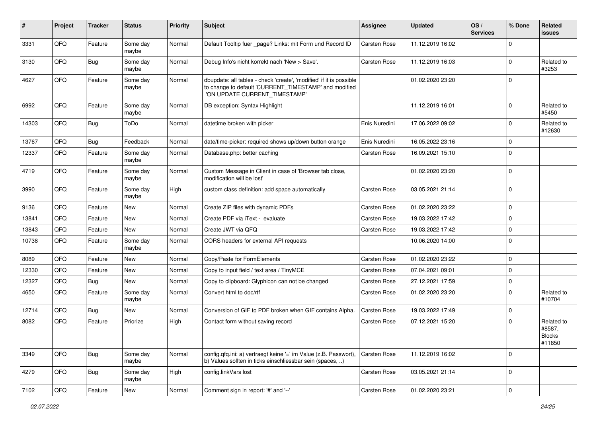| ∦     | Project        | <b>Tracker</b> | <b>Status</b>     | <b>Priority</b> | <b>Subject</b>                                                                                                                                                | <b>Assignee</b>     | <b>Updated</b>   | OS/<br><b>Services</b> | % Done         | Related<br><b>issues</b>                        |
|-------|----------------|----------------|-------------------|-----------------|---------------------------------------------------------------------------------------------------------------------------------------------------------------|---------------------|------------------|------------------------|----------------|-------------------------------------------------|
| 3331  | QFQ            | Feature        | Some day<br>maybe | Normal          | Default Tooltip fuer _page? Links: mit Form und Record ID                                                                                                     | <b>Carsten Rose</b> | 11.12.2019 16:02 |                        | $\mathbf 0$    |                                                 |
| 3130  | QFQ            | Bug            | Some day<br>maybe | Normal          | Debug Info's nicht korrekt nach 'New > Save'.                                                                                                                 | <b>Carsten Rose</b> | 11.12.2019 16:03 |                        | $\mathbf 0$    | Related to<br>#3253                             |
| 4627  | QFQ            | Feature        | Some day<br>maybe | Normal          | dbupdate: all tables - check 'create', 'modified' if it is possible<br>to change to default 'CURRENT_TIMESTAMP' and modified<br>'ON UPDATE CURRENT_TIMESTAMP' |                     | 01.02.2020 23:20 |                        | $\mathbf 0$    |                                                 |
| 6992  | QFQ            | Feature        | Some day<br>maybe | Normal          | DB exception: Syntax Highlight                                                                                                                                |                     | 11.12.2019 16:01 |                        | $\mathbf 0$    | Related to<br>#5450                             |
| 14303 | QFQ            | Bug            | ToDo              | Normal          | datetime broken with picker                                                                                                                                   | Enis Nuredini       | 17.06.2022 09:02 |                        | $\mathbf 0$    | Related to<br>#12630                            |
| 13767 | QFQ            | <b>Bug</b>     | Feedback          | Normal          | date/time-picker: required shows up/down button orange                                                                                                        | Enis Nuredini       | 16.05.2022 23:16 |                        | $\mathbf 0$    |                                                 |
| 12337 | QFQ            | Feature        | Some day<br>maybe | Normal          | Database.php: better caching                                                                                                                                  | <b>Carsten Rose</b> | 16.09.2021 15:10 |                        | $\overline{0}$ |                                                 |
| 4719  | QFQ            | Feature        | Some day<br>maybe | Normal          | Custom Message in Client in case of 'Browser tab close,<br>modification will be lost'                                                                         |                     | 01.02.2020 23:20 |                        | $\overline{0}$ |                                                 |
| 3990  | QFQ            | Feature        | Some day<br>maybe | High            | custom class definition: add space automatically                                                                                                              | Carsten Rose        | 03.05.2021 21:14 |                        | $\overline{0}$ |                                                 |
| 9136  | QFQ            | Feature        | <b>New</b>        | Normal          | Create ZIP files with dynamic PDFs                                                                                                                            | Carsten Rose        | 01.02.2020 23:22 |                        | $\mathbf 0$    |                                                 |
| 13841 | QFQ            | Feature        | <b>New</b>        | Normal          | Create PDF via iText - evaluate                                                                                                                               | Carsten Rose        | 19.03.2022 17:42 |                        | $\mathbf 0$    |                                                 |
| 13843 | QFQ            | Feature        | New               | Normal          | Create JWT via QFQ                                                                                                                                            | Carsten Rose        | 19.03.2022 17:42 |                        | $\mathbf 0$    |                                                 |
| 10738 | QFQ            | Feature        | Some day<br>maybe | Normal          | CORS headers for external API requests                                                                                                                        |                     | 10.06.2020 14:00 |                        | $\overline{0}$ |                                                 |
| 8089  | QFQ            | Feature        | New               | Normal          | Copy/Paste for FormElements                                                                                                                                   | <b>Carsten Rose</b> | 01.02.2020 23:22 |                        | $\mathbf 0$    |                                                 |
| 12330 | QFQ            | Feature        | New               | Normal          | Copy to input field / text area / TinyMCE                                                                                                                     | <b>Carsten Rose</b> | 07.04.2021 09:01 |                        | $\overline{0}$ |                                                 |
| 12327 | QFQ            | Bug            | <b>New</b>        | Normal          | Copy to clipboard: Glyphicon can not be changed                                                                                                               | <b>Carsten Rose</b> | 27.12.2021 17:59 |                        | $\mathbf 0$    |                                                 |
| 4650  | QFQ            | Feature        | Some day<br>maybe | Normal          | Convert html to doc/rtf                                                                                                                                       | Carsten Rose        | 01.02.2020 23:20 |                        | $\mathbf 0$    | Related to<br>#10704                            |
| 12714 | QFQ            | Bug            | New               | Normal          | Conversion of GIF to PDF broken when GIF contains Alpha.                                                                                                      | <b>Carsten Rose</b> | 19.03.2022 17:49 |                        | $\mathbf 0$    |                                                 |
| 8082  | QFQ            | Feature        | Priorize          | High            | Contact form without saving record                                                                                                                            | <b>Carsten Rose</b> | 07.12.2021 15:20 |                        | $\overline{0}$ | Related to<br>#8587,<br><b>Blocks</b><br>#11850 |
| 3349  | QFQ            | Bug            | Some day<br>maybe | Normal          | config.qfq.ini: a) vertraegt keine '=' im Value (z.B. Passwort),<br>b) Values sollten in ticks einschliessbar sein (spaces, )                                 | Carsten Rose        | 11.12.2019 16:02 |                        | $\mathbf 0$    |                                                 |
| 4279  | QFQ            | <b>Bug</b>     | Some day<br>maybe | High            | config.linkVars lost                                                                                                                                          | Carsten Rose        | 03.05.2021 21:14 |                        | $\mathbf 0$    |                                                 |
| 7102  | $\mathsf{QFQ}$ | Feature        | New               | Normal          | Comment sign in report: '#' and '--'                                                                                                                          | Carsten Rose        | 01.02.2020 23:21 |                        | $\pmb{0}$      |                                                 |